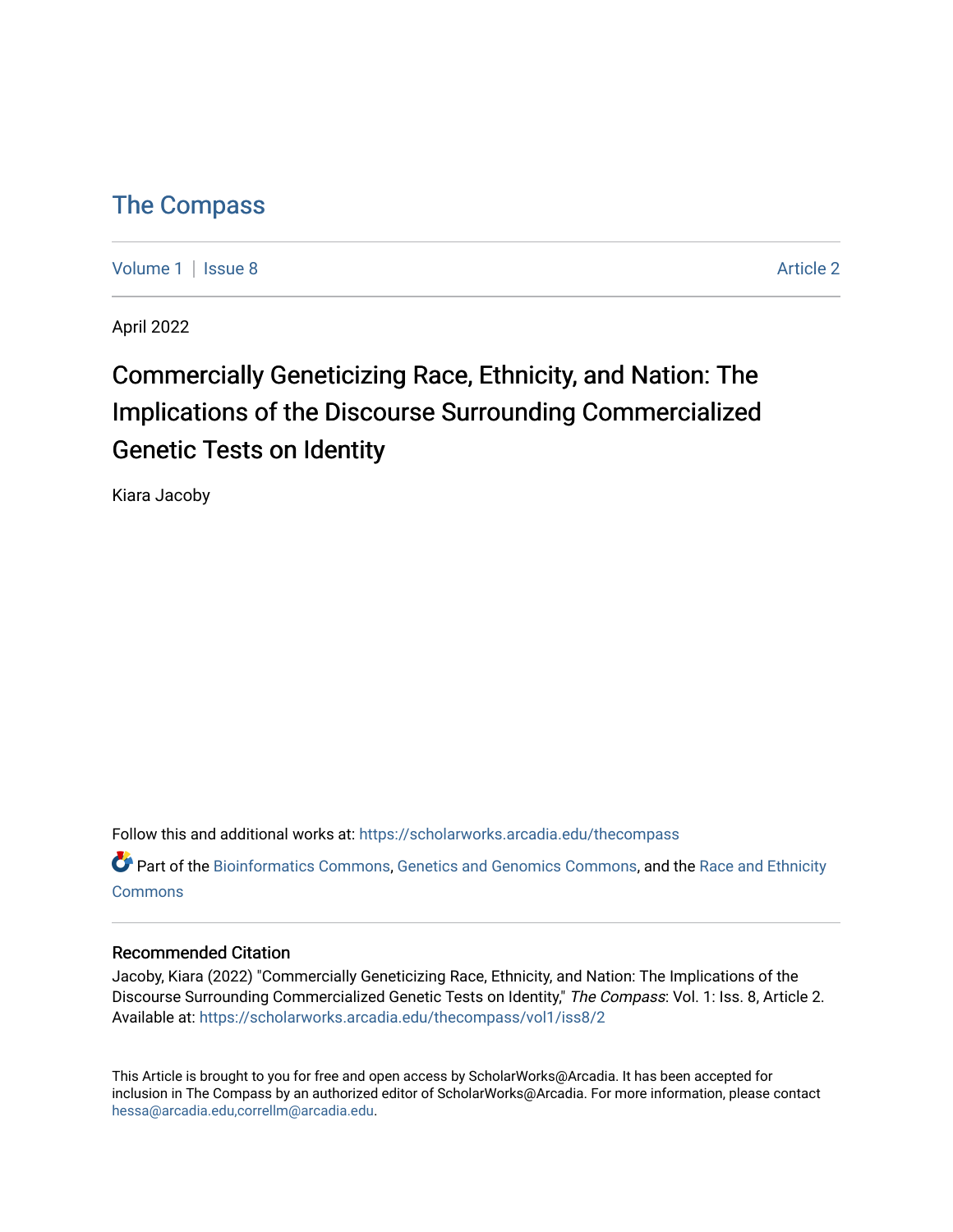### [The Compass](https://scholarworks.arcadia.edu/thecompass)

[Volume 1](https://scholarworks.arcadia.edu/thecompass/vol1) | [Issue 8](https://scholarworks.arcadia.edu/thecompass/vol1/iss8) Article 2

April 2022

## Commercially Geneticizing Race, Ethnicity, and Nation: The Implications of the Discourse Surrounding Commercialized Genetic Tests on Identity

Kiara Jacoby

Follow this and additional works at: [https://scholarworks.arcadia.edu/thecompass](https://scholarworks.arcadia.edu/thecompass?utm_source=scholarworks.arcadia.edu%2Fthecompass%2Fvol1%2Fiss8%2F2&utm_medium=PDF&utm_campaign=PDFCoverPages) 

Part of the [Bioinformatics Commons,](http://network.bepress.com/hgg/discipline/110?utm_source=scholarworks.arcadia.edu%2Fthecompass%2Fvol1%2Fiss8%2F2&utm_medium=PDF&utm_campaign=PDFCoverPages) [Genetics and Genomics Commons](http://network.bepress.com/hgg/discipline/27?utm_source=scholarworks.arcadia.edu%2Fthecompass%2Fvol1%2Fiss8%2F2&utm_medium=PDF&utm_campaign=PDFCoverPages), and the [Race and Ethnicity](http://network.bepress.com/hgg/discipline/426?utm_source=scholarworks.arcadia.edu%2Fthecompass%2Fvol1%2Fiss8%2F2&utm_medium=PDF&utm_campaign=PDFCoverPages) **[Commons](http://network.bepress.com/hgg/discipline/426?utm_source=scholarworks.arcadia.edu%2Fthecompass%2Fvol1%2Fiss8%2F2&utm_medium=PDF&utm_campaign=PDFCoverPages)** 

#### Recommended Citation

Jacoby, Kiara (2022) "Commercially Geneticizing Race, Ethnicity, and Nation: The Implications of the Discourse Surrounding Commercialized Genetic Tests on Identity," The Compass: Vol. 1: Iss. 8, Article 2. Available at: [https://scholarworks.arcadia.edu/thecompass/vol1/iss8/2](https://scholarworks.arcadia.edu/thecompass/vol1/iss8/2?utm_source=scholarworks.arcadia.edu%2Fthecompass%2Fvol1%2Fiss8%2F2&utm_medium=PDF&utm_campaign=PDFCoverPages)

This Article is brought to you for free and open access by ScholarWorks@Arcadia. It has been accepted for inclusion in The Compass by an authorized editor of ScholarWorks@Arcadia. For more information, please contact [hessa@arcadia.edu,correllm@arcadia.edu](mailto:hessa@arcadia.edu,correllm@arcadia.edu).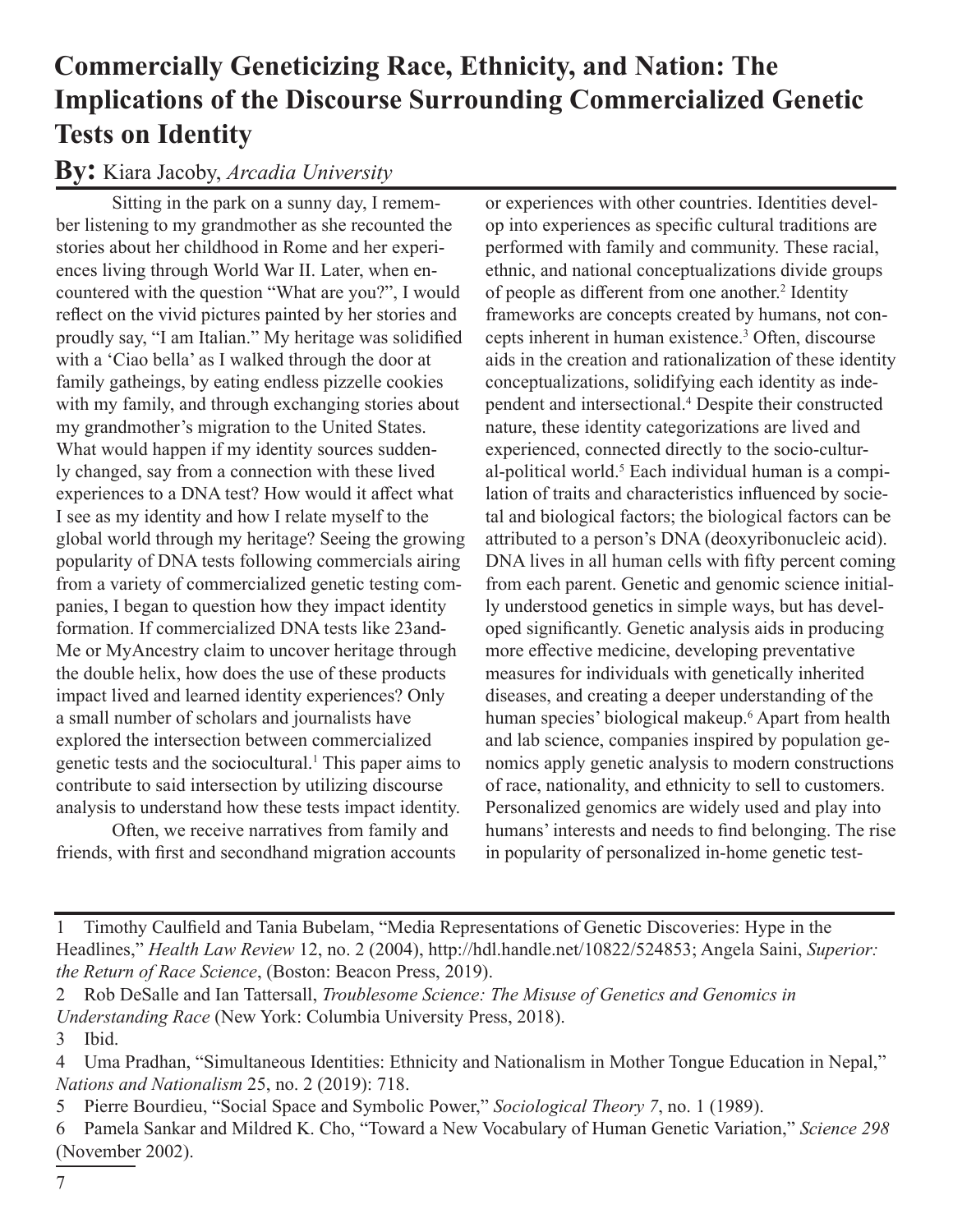## **Commercially Geneticizing Race, Ethnicity, and Nation: The Implications of the Discourse Surrounding Commercialized Genetic Tests on Identity**

### **By:** Kiara Jacoby, *Arcadia University*

Sitting in the park on a sunny day, I remember listening to my grandmother as she recounted the stories about her childhood in Rome and her experiences living through World War II. Later, when encountered with the question "What are you?", I would reflect on the vivid pictures painted by her stories and proudly say, "I am Italian." My heritage was solidified with a 'Ciao bella' as I walked through the door at family gatheings, by eating endless pizzelle cookies with my family, and through exchanging stories about my grandmother's migration to the United States. What would happen if my identity sources suddenly changed, say from a connection with these lived experiences to a DNA test? How would it affect what I see as my identity and how I relate myself to the global world through my heritage? Seeing the growing popularity of DNA tests following commercials airing from a variety of commercialized genetic testing companies, I began to question how they impact identity formation. If commercialized DNA tests like 23and-Me or MyAncestry claim to uncover heritage through the double helix, how does the use of these products impact lived and learned identity experiences? Only a small number of scholars and journalists have explored the intersection between commercialized genetic tests and the sociocultural.<sup>1</sup> This paper aims to contribute to said intersection by utilizing discourse analysis to understand how these tests impact identity.

Often, we receive narratives from family and friends, with first and secondhand migration accounts or experiences with other countries. Identities develop into experiences as specific cultural traditions are performed with family and community. These racial, ethnic, and national conceptualizations divide groups of people as different from one another.<sup>2</sup> Identity frameworks are concepts created by humans, not concepts inherent in human existence.3 Often, discourse aids in the creation and rationalization of these identity conceptualizations, solidifying each identity as independent and intersectional.4 Despite their constructed nature, these identity categorizations are lived and experienced, connected directly to the socio-cultural-political world.<sup>5</sup> Each individual human is a compilation of traits and characteristics influenced by societal and biological factors; the biological factors can be attributed to a person's DNA (deoxyribonucleic acid). DNA lives in all human cells with fifty percent coming from each parent. Genetic and genomic science initially understood genetics in simple ways, but has developed significantly. Genetic analysis aids in producing more effective medicine, developing preventative measures for individuals with genetically inherited diseases, and creating a deeper understanding of the human species' biological makeup.6 Apart from health and lab science, companies inspired by population genomics apply genetic analysis to modern constructions of race, nationality, and ethnicity to sell to customers. Personalized genomics are widely used and play into humans' interests and needs to find belonging. The rise in popularity of personalized in-home genetic test-

5 Pierre Bourdieu, "Social Space and Symbolic Power," *Sociological Theory 7*, no. 1 (1989).

<sup>1</sup> Timothy Caulfield and Tania Bubelam, "Media Representations of Genetic Discoveries: Hype in the Headlines," *Health Law Review* 12, no. 2 (2004), http://hdl.handle.net/10822/524853; Angela Saini, *Superior: the Return of Race Science*, (Boston: Beacon Press, 2019).

<sup>2</sup> Rob DeSalle and Ian Tattersall, *Troublesome Science: The Misuse of Genetics and Genomics in Understanding Race* (New York: Columbia University Press, 2018).

<sup>3</sup> Ibid.

<sup>4</sup> Uma Pradhan, "Simultaneous Identities: Ethnicity and Nationalism in Mother Tongue Education in Nepal," *Nations and Nationalism* 25, no. 2 (2019): 718.

<sup>6</sup> Pamela Sankar and Mildred K. Cho, "Toward a New Vocabulary of Human Genetic Variation," *Science 298* (November 2002).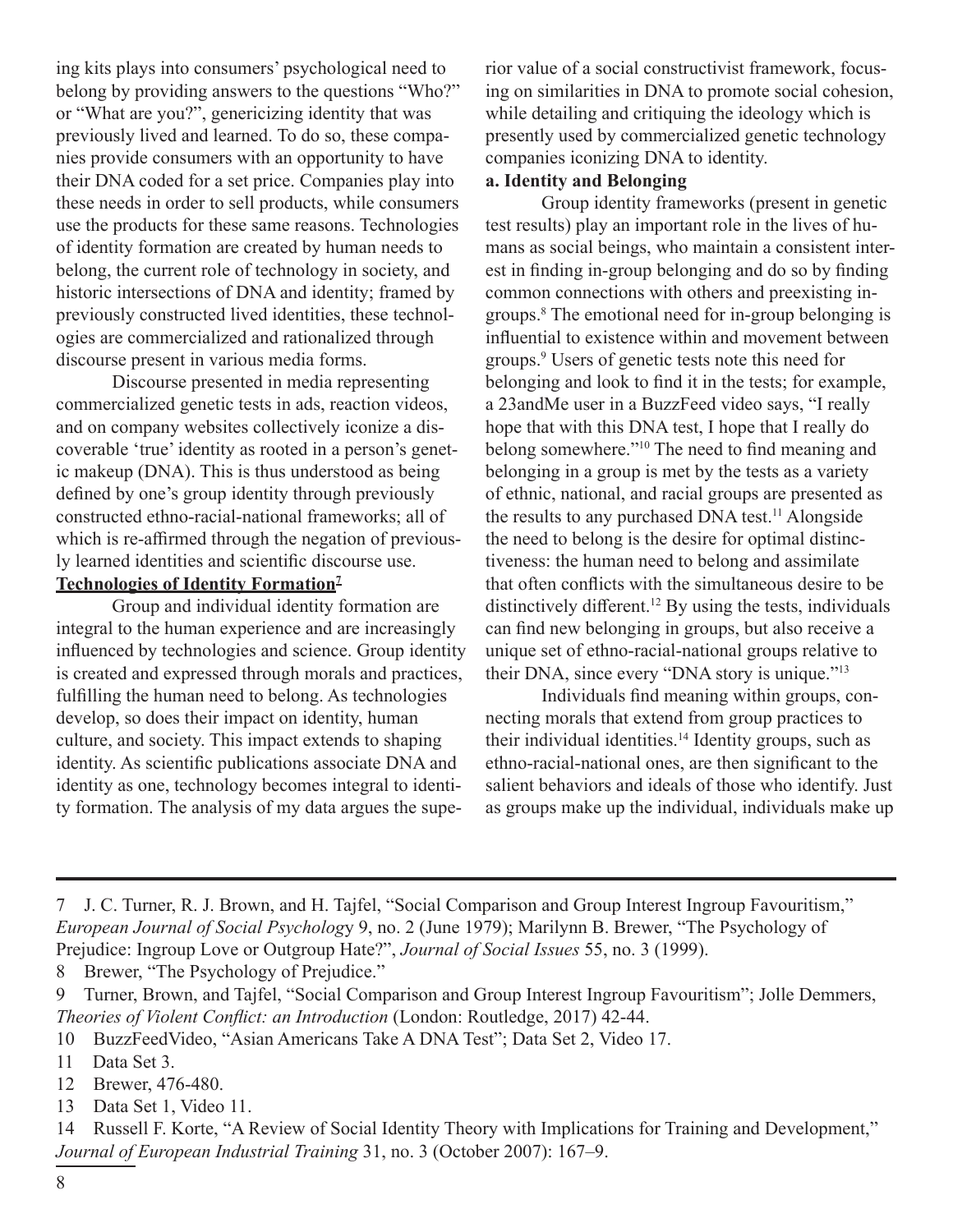ing kits plays into consumers' psychological need to belong by providing answers to the questions "Who?" or "What are you?", genericizing identity that was previously lived and learned. To do so, these companies provide consumers with an opportunity to have their DNA coded for a set price. Companies play into these needs in order to sell products, while consumers use the products for these same reasons. Technologies of identity formation are created by human needs to belong, the current role of technology in society, and historic intersections of DNA and identity; framed by previously constructed lived identities, these technologies are commercialized and rationalized through discourse present in various media forms.

Discourse presented in media representing commercialized genetic tests in ads, reaction videos, and on company websites collectively iconize a discoverable 'true' identity as rooted in a person's genetic makeup (DNA). This is thus understood as being defined by one's group identity through previously constructed ethno-racial-national frameworks; all of which is re-affirmed through the negation of previously learned identities and scientific discourse use. **Technologies of Identity Formation7**

Group and individual identity formation are integral to the human experience and are increasingly influenced by technologies and science. Group identity is created and expressed through morals and practices, fulfilling the human need to belong. As technologies develop, so does their impact on identity, human culture, and society. This impact extends to shaping identity. As scientific publications associate DNA and identity as one, technology becomes integral to identity formation. The analysis of my data argues the superior value of a social constructivist framework, focusing on similarities in DNA to promote social cohesion, while detailing and critiquing the ideology which is presently used by commercialized genetic technology companies iconizing DNA to identity.

#### **a. Identity and Belonging**

Group identity frameworks (present in genetic test results) play an important role in the lives of humans as social beings, who maintain a consistent interest in finding in-group belonging and do so by finding common connections with others and preexisting ingroups.<sup>8</sup> The emotional need for in-group belonging is influential to existence within and movement between groups.<sup>9</sup> Users of genetic tests note this need for belonging and look to find it in the tests; for example, a 23andMe user in a BuzzFeed video says, "I really hope that with this DNA test, I hope that I really do belong somewhere."<sup>10</sup> The need to find meaning and belonging in a group is met by the tests as a variety of ethnic, national, and racial groups are presented as the results to any purchased DNA test.<sup>11</sup> Alongside the need to belong is the desire for optimal distinctiveness: the human need to belong and assimilate that often conflicts with the simultaneous desire to be distinctively different.<sup>12</sup> By using the tests, individuals can find new belonging in groups, but also receive a unique set of ethno-racial-national groups relative to their DNA, since every "DNA story is unique."<sup>13</sup>

Individuals find meaning within groups, connecting morals that extend from group practices to their individual identities.<sup>14</sup> Identity groups, such as ethno-racial-national ones, are then significant to the salient behaviors and ideals of those who identify. Just as groups make up the individual, individuals make up

8 Brewer, "The Psychology of Prejudice."

- 12 Brewer, 476-480.
- 13 Data Set 1, Video 11.

14 Russell F. Korte, "A Review of Social Identity Theory with Implications for Training and Development," *Journal of European Industrial Training* 31, no. 3 (October 2007): 167–9.

<sup>7</sup> J. C. Turner, R. J. Brown, and H. Tajfel, "Social Comparison and Group Interest Ingroup Favouritism," *European Journal of Social Psycholog*y 9, no. 2 (June 1979); Marilynn B. Brewer, "The Psychology of Prejudice: Ingroup Love or Outgroup Hate?", *Journal of Social Issues* 55, no. 3 (1999).

<sup>9</sup> Turner, Brown, and Tajfel, "Social Comparison and Group Interest Ingroup Favouritism"; Jolle Demmers, *Theories of Violent Conflict: an Introduction* (London: Routledge, 2017) 42-44.

<sup>10</sup> BuzzFeedVideo, "Asian Americans Take A DNA Test"; Data Set 2, Video 17.

<sup>11</sup> Data Set 3.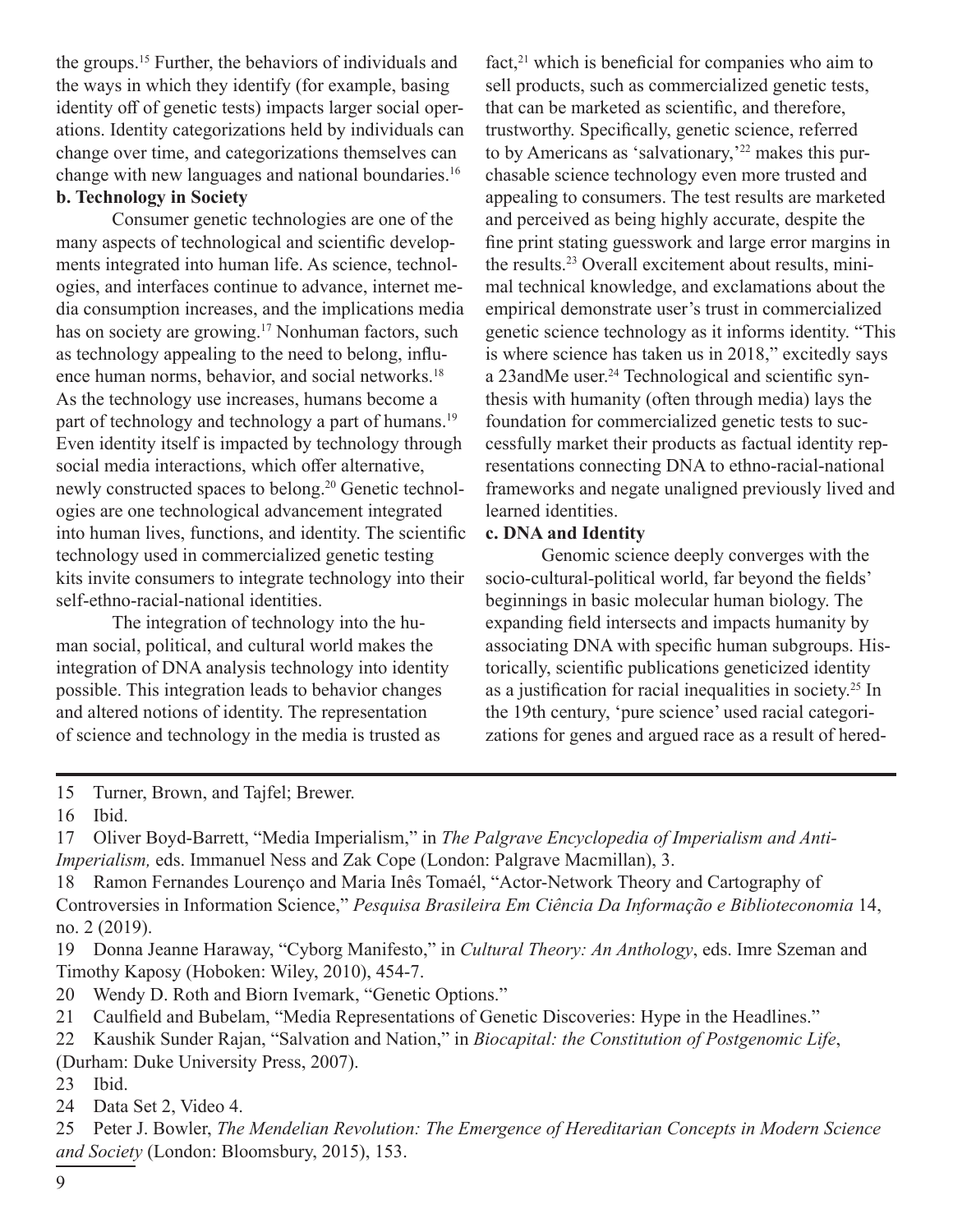the groups.15 Further, the behaviors of individuals and the ways in which they identify (for example, basing identity off of genetic tests) impacts larger social operations. Identity categorizations held by individuals can change over time, and categorizations themselves can change with new languages and national boundaries.16 **b. Technology in Society**

Consumer genetic technologies are one of the many aspects of technological and scientific developments integrated into human life. As science, technologies, and interfaces continue to advance, internet media consumption increases, and the implications media has on society are growing.<sup>17</sup> Nonhuman factors, such as technology appealing to the need to belong, influence human norms, behavior, and social networks.<sup>18</sup> As the technology use increases, humans become a part of technology and technology a part of humans.<sup>19</sup> Even identity itself is impacted by technology through social media interactions, which offer alternative, newly constructed spaces to belong.20 Genetic technologies are one technological advancement integrated into human lives, functions, and identity. The scientific technology used in commercialized genetic testing kits invite consumers to integrate technology into their self-ethno-racial-national identities.

The integration of technology into the human social, political, and cultural world makes the integration of DNA analysis technology into identity possible. This integration leads to behavior changes and altered notions of identity. The representation of science and technology in the media is trusted as

fact,<sup>21</sup> which is beneficial for companies who aim to sell products, such as commercialized genetic tests, that can be marketed as scientific, and therefore, trustworthy. Specifically, genetic science, referred to by Americans as 'salvationary,'<sup>22</sup> makes this purchasable science technology even more trusted and appealing to consumers. The test results are marketed and perceived as being highly accurate, despite the fine print stating guesswork and large error margins in the results.23 Overall excitement about results, minimal technical knowledge, and exclamations about the empirical demonstrate user's trust in commercialized genetic science technology as it informs identity. "This is where science has taken us in 2018," excitedly says a 23andMe user.<sup>24</sup> Technological and scientific synthesis with humanity (often through media) lays the foundation for commercialized genetic tests to successfully market their products as factual identity representations connecting DNA to ethno-racial-national frameworks and negate unaligned previously lived and learned identities.

#### **c. DNA and Identity**

Genomic science deeply converges with the socio-cultural-political world, far beyond the fields' beginnings in basic molecular human biology. The expanding field intersects and impacts humanity by associating DNA with specific human subgroups. Historically, scientific publications geneticized identity as a justification for racial inequalities in society.25 In the 19th century, 'pure science' used racial categorizations for genes and argued race as a result of hered-

- 15 Turner, Brown, and Tajfel; Brewer.
- 16 Ibid.
- 17 Oliver Boyd-Barrett, "Media Imperialism," in *The Palgrave Encyclopedia of Imperialism and Anti-Imperialism, eds. Immanuel Ness and Zak Cope (London: Palgrave Macmillan), 3.*
- 18 Ramon Fernandes Lourenço and Maria Inês Tomaél, "Actor-Network Theory and Cartography of Controversies in Information Science," *Pesquisa Brasileira Em Ciência Da Informação e Biblioteconomia* 14, no. 2 (2019).
- 19 Donna Jeanne Haraway, "Cyborg Manifesto," in *Cultural Theory: An Anthology*, eds. Imre Szeman and Timothy Kaposy (Hoboken: Wiley, 2010), 454-7.
- 20 Wendy D. Roth and Biorn Ivemark, "Genetic Options."
- 21 Caulfield and Bubelam, "Media Representations of Genetic Discoveries: Hype in the Headlines."
- 22 Kaushik Sunder Rajan, "Salvation and Nation," in *Biocapital: the Constitution of Postgenomic Life*, (Durham: Duke University Press, 2007).
- 23 Ibid.
- 24 Data Set 2, Video 4.

25 Peter J. Bowler, *The Mendelian Revolution: The Emergence of Hereditarian Concepts in Modern Science and Society* (London: Bloomsbury, 2015), 153.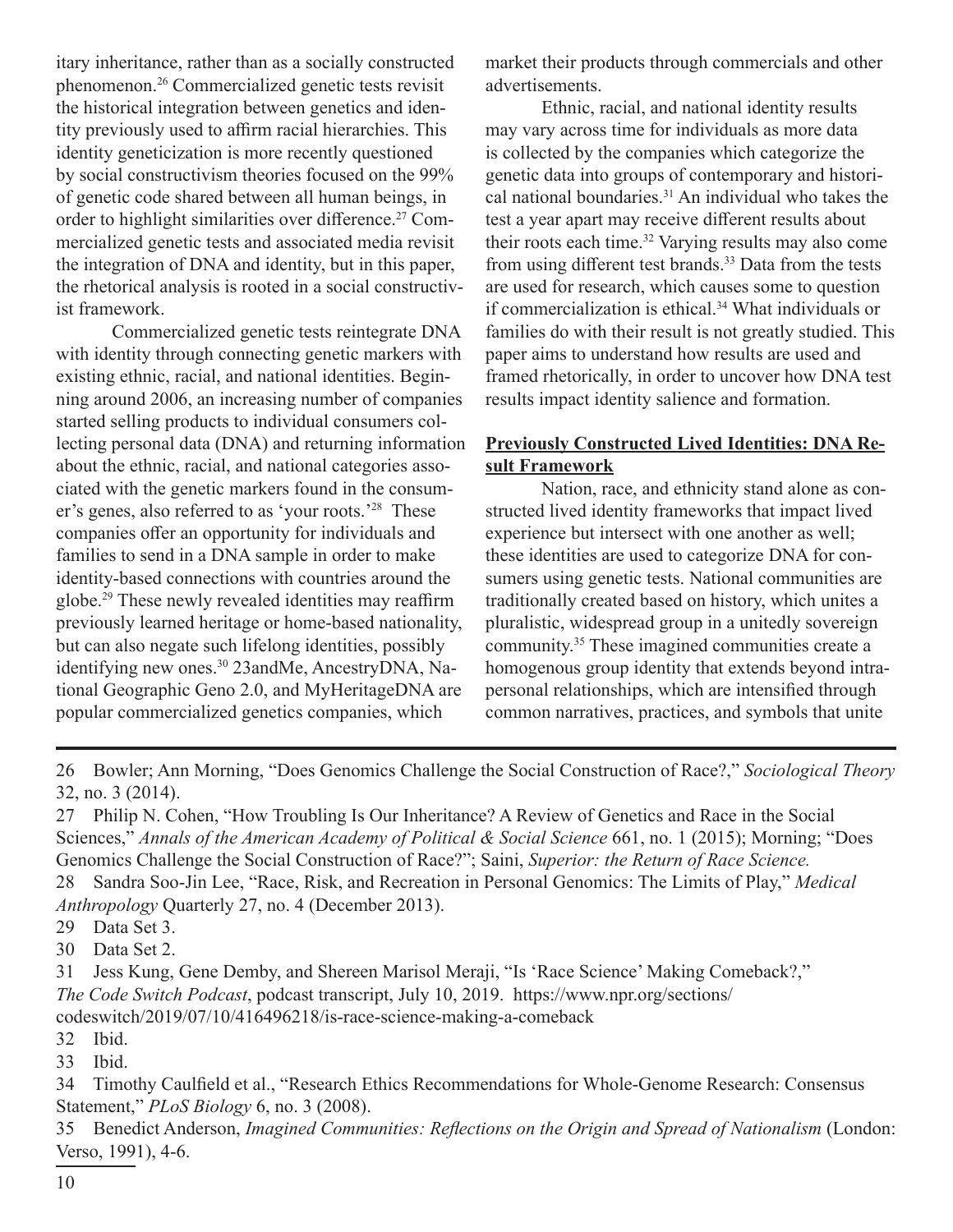itary inheritance, rather than as a socially constructed phenomenon.26 Commercialized genetic tests revisit the historical integration between genetics and identity previously used to affirm racial hierarchies. This identity geneticization is more recently questioned by social constructivism theories focused on the 99% of genetic code shared between all human beings, in order to highlight similarities over difference.<sup>27</sup> Commercialized genetic tests and associated media revisit the integration of DNA and identity, but in this paper, the rhetorical analysis is rooted in a social constructivist framework.

Commercialized genetic tests reintegrate DNA with identity through connecting genetic markers with existing ethnic, racial, and national identities. Beginning around 2006, an increasing number of companies started selling products to individual consumers collecting personal data (DNA) and returning information about the ethnic, racial, and national categories associated with the genetic markers found in the consumer's genes, also referred to as 'your roots.'<sup>28</sup> These companies offer an opportunity for individuals and families to send in a DNA sample in order to make identity-based connections with countries around the globe.29 These newly revealed identities may reaffirm previously learned heritage or home-based nationality, but can also negate such lifelong identities, possibly identifying new ones.<sup>30</sup> 23andMe, AncestryDNA, National Geographic Geno 2.0, and MyHeritageDNA are popular commercialized genetics companies, which

market their products through commercials and other advertisements.

Ethnic, racial, and national identity results may vary across time for individuals as more data is collected by the companies which categorize the genetic data into groups of contemporary and historical national boundaries. $31$  An individual who takes the test a year apart may receive different results about their roots each time.32 Varying results may also come from using different test brands.33 Data from the tests are used for research, which causes some to question if commercialization is ethical.34 What individuals or families do with their result is not greatly studied. This paper aims to understand how results are used and framed rhetorically, in order to uncover how DNA test results impact identity salience and formation.

#### **Previously Constructed Lived Identities: DNA Result Framework**

Nation, race, and ethnicity stand alone as constructed lived identity frameworks that impact lived experience but intersect with one another as well; these identities are used to categorize DNA for consumers using genetic tests. National communities are traditionally created based on history, which unites a pluralistic, widespread group in a unitedly sovereign community.<sup>35</sup> These imagined communities create a homogenous group identity that extends beyond intrapersonal relationships, which are intensified through common narratives, practices, and symbols that unite

26 Bowler; Ann Morning, "Does Genomics Challenge the Social Construction of Race?," *Sociological Theory*  32, no. 3 (2014).

27 Philip N. Cohen, "How Troubling Is Our Inheritance? A Review of Genetics and Race in the Social Sciences," Annals of the American Academy of Political & Social Science 661, no. 1 (2015); Morning; "Does Genomics Challenge the Social Construction of Race?"; Saini, *Superior: the Return of Race Science.*

28 Sandra Soo-Jin Lee, "Race, Risk, and Recreation in Personal Genomics: The Limits of Play," *Medical Anthropology* Quarterly 27, no. 4 (December 2013).

29 Data Set 3.

30 Data Set 2.

31 Jess Kung, Gene Demby, and Shereen Marisol Meraji, "Is 'Race Science' Making Comeback?," *The Code Switch Podcast*, podcast transcript, July 10, 2019. https://www.npr.org/sections/ codeswitch/2019/07/10/416496218/is-race-science-making-a-comeback

32 Ibid.

33 Ibid.

34 Timothy Caulfield et al., "Research Ethics Recommendations for Whole-Genome Research: Consensus Statement," *PLoS Biology* 6, no. 3 (2008).

35 Benedict Anderson, *Imagined Communities: Reflections on the Origin and Spread of Nationalism* (London: Verso, 1991), 4-6.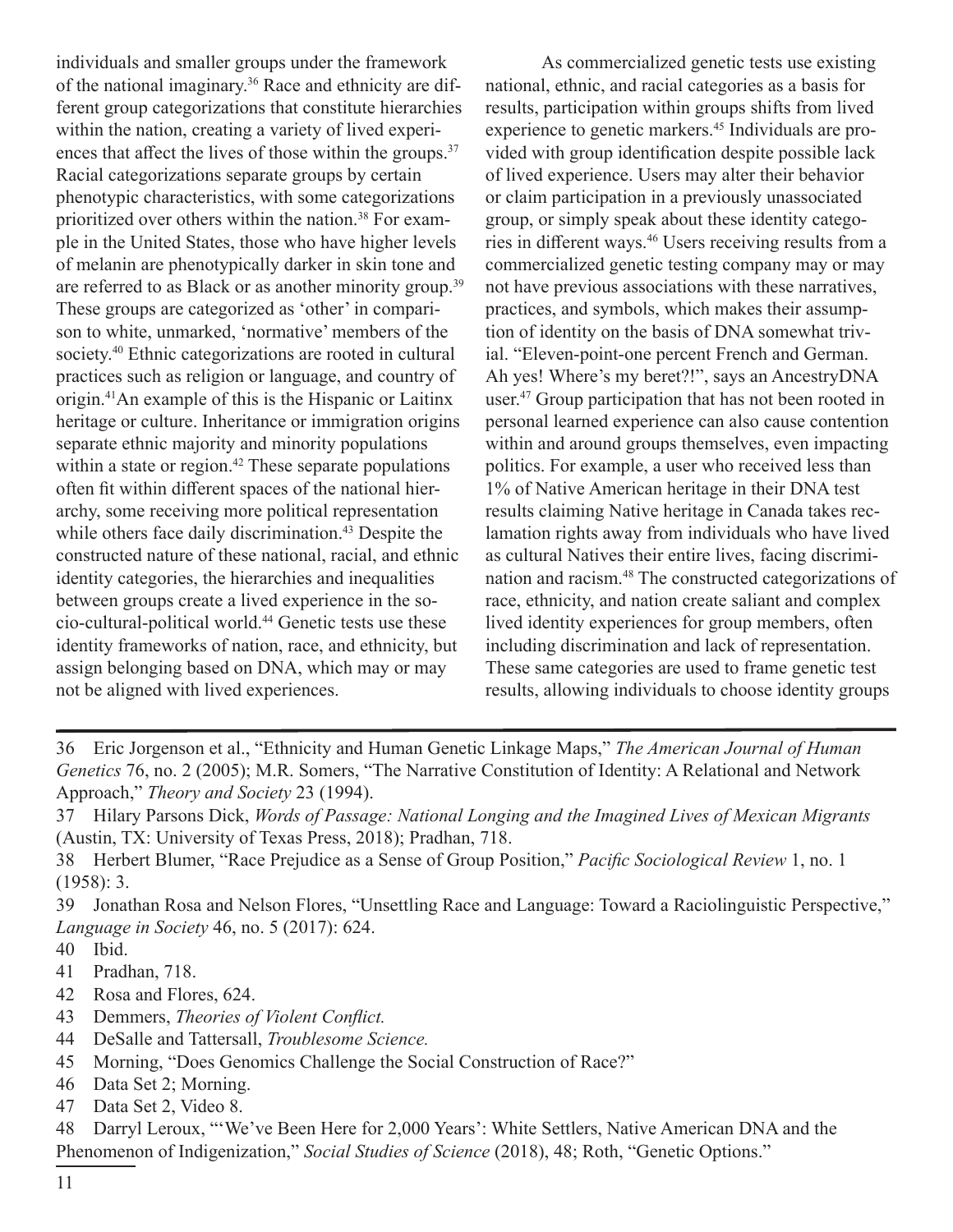individuals and smaller groups under the framework of the national imaginary.36 Race and ethnicity are different group categorizations that constitute hierarchies within the nation, creating a variety of lived experiences that affect the lives of those within the groups.<sup>37</sup> Racial categorizations separate groups by certain phenotypic characteristics, with some categorizations prioritized over others within the nation.<sup>38</sup> For example in the United States, those who have higher levels of melanin are phenotypically darker in skin tone and are referred to as Black or as another minority group.<sup>39</sup> These groups are categorized as 'other' in comparison to white, unmarked, 'normative' members of the society.<sup>40</sup> Ethnic categorizations are rooted in cultural practices such as religion or language, and country of origin.41An example of this is the Hispanic or Laitinx heritage or culture. Inheritance or immigration origins separate ethnic majority and minority populations within a state or region.<sup>42</sup> These separate populations often fit within different spaces of the national hierarchy, some receiving more political representation while others face daily discrimination.<sup>43</sup> Despite the constructed nature of these national, racial, and ethnic identity categories, the hierarchies and inequalities between groups create a lived experience in the socio-cultural-political world.44 Genetic tests use these identity frameworks of nation, race, and ethnicity, but assign belonging based on DNA, which may or may not be aligned with lived experiences.

As commercialized genetic tests use existing national, ethnic, and racial categories as a basis for results, participation within groups shifts from lived experience to genetic markers.<sup>45</sup> Individuals are provided with group identification despite possible lack of lived experience. Users may alter their behavior or claim participation in a previously unassociated group, or simply speak about these identity categories in different ways.46 Users receiving results from a commercialized genetic testing company may or may not have previous associations with these narratives, practices, and symbols, which makes their assumption of identity on the basis of DNA somewhat trivial. "Eleven-point-one percent French and German. Ah yes! Where's my beret?!", says an AncestryDNA user.<sup>47</sup> Group participation that has not been rooted in personal learned experience can also cause contention within and around groups themselves, even impacting politics. For example, a user who received less than 1% of Native American heritage in their DNA test results claiming Native heritage in Canada takes reclamation rights away from individuals who have lived as cultural Natives their entire lives, facing discrimination and racism.<sup>48</sup> The constructed categorizations of race, ethnicity, and nation create saliant and complex lived identity experiences for group members, often including discrimination and lack of representation. These same categories are used to frame genetic test results, allowing individuals to choose identity groups

- 36 Eric Jorgenson et al., "Ethnicity and Human Genetic Linkage Maps," *The American Journal of Human Genetics* 76, no. 2 (2005); M.R. Somers, "The Narrative Constitution of Identity: A Relational and Network Approach," *Theory and Society* 23 (1994).
- 37 Hilary Parsons Dick, *Words of Passage: National Longing and the Imagined Lives of Mexican Migrants*  (Austin, TX: University of Texas Press, 2018); Pradhan, 718.
- 38 Herbert Blumer, "Race Prejudice as a Sense of Group Position," *Pacific Sociological Review* 1, no. 1 (1958): 3.

39 Jonathan Rosa and Nelson Flores, "Unsettling Race and Language: Toward a Raciolinguistic Perspective," *Language in Society* 46, no. 5 (2017): 624.

- 40 Ibid.
- 41 Pradhan, 718.
- 42 Rosa and Flores, 624.
- 43 Demmers, *Theories of Violent Conflict.*
- 44 DeSalle and Tattersall, *Troublesome Science.*
- 45 Morning, "Does Genomics Challenge the Social Construction of Race?"
- 46 Data Set 2; Morning.
- 47 Data Set 2, Video 8.

48 Darryl Leroux, "'We've Been Here for 2,000 Years': White Settlers, Native American DNA and the Phenomenon of Indigenization," *Social Studies of Science* (2018), 48; Roth, "Genetic Options."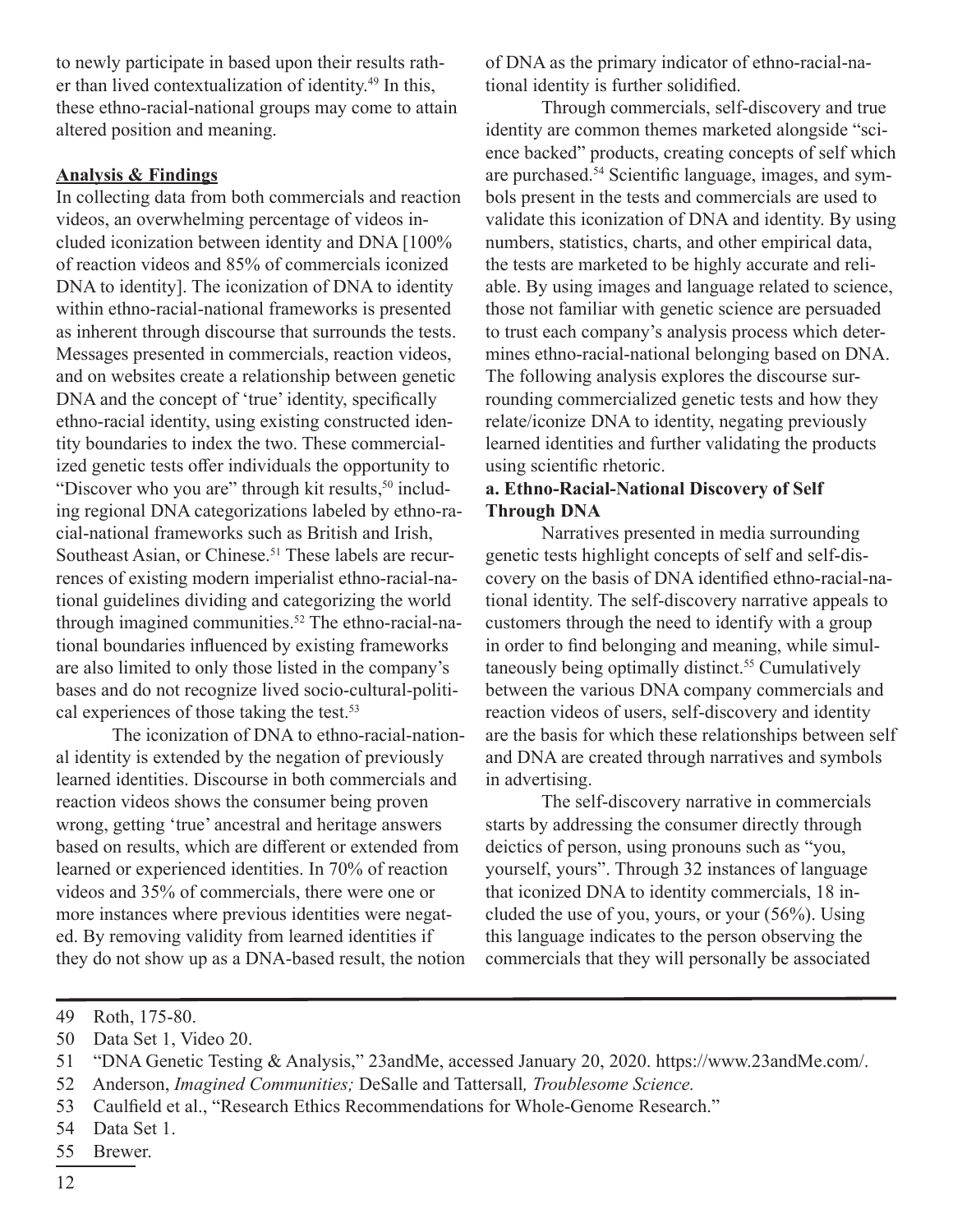to newly participate in based upon their results rather than lived contextualization of identity.<sup>49</sup> In this, these ethno-racial-national groups may come to attain altered position and meaning.

#### **Analysis & Findings**

In collecting data from both commercials and reaction videos, an overwhelming percentage of videos included iconization between identity and DNA [100% of reaction videos and 85% of commercials iconized DNA to identity]. The iconization of DNA to identity within ethno-racial-national frameworks is presented as inherent through discourse that surrounds the tests. Messages presented in commercials, reaction videos, and on websites create a relationship between genetic DNA and the concept of 'true' identity, specifically ethno-racial identity, using existing constructed identity boundaries to index the two. These commercialized genetic tests offer individuals the opportunity to "Discover who you are" through kit results, $50$  including regional DNA categorizations labeled by ethno-racial-national frameworks such as British and Irish, Southeast Asian, or Chinese.<sup>51</sup> These labels are recurrences of existing modern imperialist ethno-racial-national guidelines dividing and categorizing the world through imagined communities.<sup>52</sup> The ethno-racial-national boundaries influenced by existing frameworks are also limited to only those listed in the company's bases and do not recognize lived socio-cultural-political experiences of those taking the test.<sup>53</sup>

The iconization of DNA to ethno-racial-national identity is extended by the negation of previously learned identities. Discourse in both commercials and reaction videos shows the consumer being proven wrong, getting 'true' ancestral and heritage answers based on results, which are different or extended from learned or experienced identities. In 70% of reaction videos and 35% of commercials, there were one or more instances where previous identities were negated. By removing validity from learned identities if they do not show up as a DNA-based result, the notion of DNA as the primary indicator of ethno-racial-national identity is further solidified.

Through commercials, self-discovery and true identity are common themes marketed alongside "science backed" products, creating concepts of self which are purchased.54 Scientific language, images, and symbols present in the tests and commercials are used to validate this iconization of DNA and identity. By using numbers, statistics, charts, and other empirical data, the tests are marketed to be highly accurate and reliable. By using images and language related to science, those not familiar with genetic science are persuaded to trust each company's analysis process which determines ethno-racial-national belonging based on DNA. The following analysis explores the discourse surrounding commercialized genetic tests and how they relate/iconize DNA to identity, negating previously learned identities and further validating the products using scientific rhetoric.

#### **a. Ethno-Racial-National Discovery of Self Through DNA**

Narratives presented in media surrounding genetic tests highlight concepts of self and self-discovery on the basis of DNA identified ethno-racial-national identity. The self-discovery narrative appeals to customers through the need to identify with a group in order to find belonging and meaning, while simultaneously being optimally distinct.<sup>55</sup> Cumulatively between the various DNA company commercials and reaction videos of users, self-discovery and identity are the basis for which these relationships between self and DNA are created through narratives and symbols in advertising.

The self-discovery narrative in commercials starts by addressing the consumer directly through deictics of person, using pronouns such as "you, yourself, yours". Through 32 instances of language that iconized DNA to identity commercials, 18 included the use of you, yours, or your (56%). Using this language indicates to the person observing the commercials that they will personally be associated

50 Data Set 1, Video 20.

- 52 Anderson, *Imagined Communities;* DeSalle and Tattersall*, Troublesome Science.*
- 53 Caulfield et al., "Research Ethics Recommendations for Whole-Genome Research."
- 54 Data Set 1.
- 55 Brewer.

<sup>49</sup> Roth, 175-80.

<sup>51</sup> "DNA Genetic Testing & Analysis," 23andMe, accessed January 20, 2020. https://www.23andMe.com/.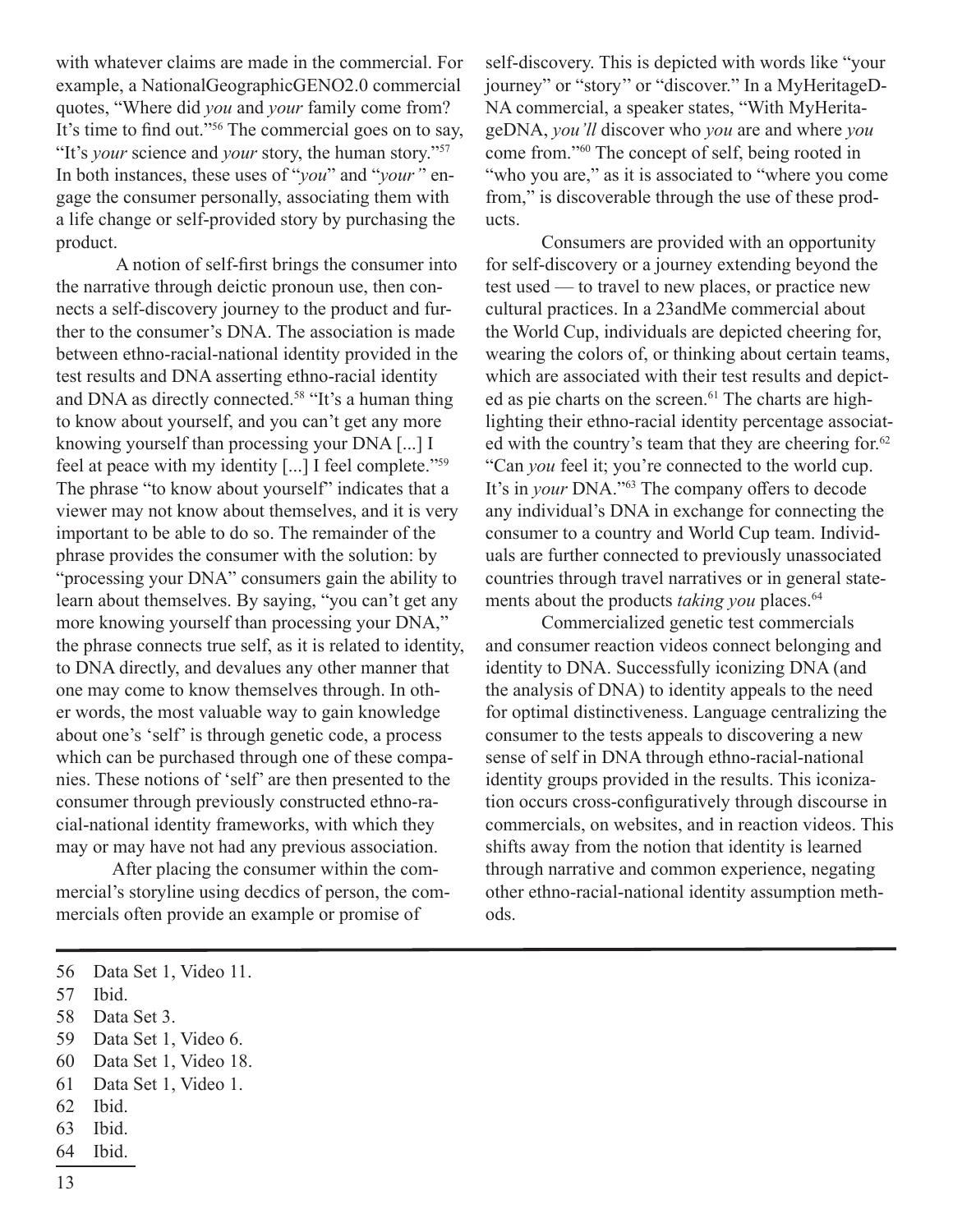with whatever claims are made in the commercial. For example, a NationalGeographicGENO2.0 commercial quotes, "Where did *you* and *your* family come from? It's time to find out."56 The commercial goes on to say, "It's *your* science and *your* story, the human story."<sup>57</sup> In both instances, these uses of "*you*" and "*your'*' engage the consumer personally, associating them with a life change or self-provided story by purchasing the product.

 A notion of self-first brings the consumer into the narrative through deictic pronoun use, then connects a self-discovery journey to the product and further to the consumer's DNA. The association is made between ethno-racial-national identity provided in the test results and DNA asserting ethno-racial identity and DNA as directly connected.<sup>58</sup> "It's a human thing to know about yourself, and you can't get any more knowing yourself than processing your DNA [...] I feel at peace with my identity [...] I feel complete."<sup>59</sup> The phrase "to know about yourself" indicates that a viewer may not know about themselves, and it is very important to be able to do so. The remainder of the phrase provides the consumer with the solution: by "processing your DNA" consumers gain the ability to learn about themselves. By saying, "you can't get any more knowing yourself than processing your DNA," the phrase connects true self, as it is related to identity, to DNA directly, and devalues any other manner that one may come to know themselves through. In other words, the most valuable way to gain knowledge about one's 'self' is through genetic code, a process which can be purchased through one of these companies. These notions of 'self' are then presented to the consumer through previously constructed ethno-racial-national identity frameworks, with which they may or may have not had any previous association.

After placing the consumer within the commercial's storyline using decdics of person, the commercials often provide an example or promise of

- 59 Data Set 1, Video 6.
- 60 Data Set 1, Video 18.
- 61 Data Set 1, Video 1.
- 62 Ibid.
- 63 Ibid.
- 64 Ibid.

self-discovery. This is depicted with words like "your journey" or "story'' or "discover." In a MyHeritageD-NA commercial, a speaker states, "With MyHeritageDNA, *you'll* discover who *you* are and where *you* come from."60 The concept of self, being rooted in "who you are," as it is associated to "where you come from," is discoverable through the use of these products.

Consumers are provided with an opportunity for self-discovery or a journey extending beyond the test used — to travel to new places, or practice new cultural practices. In a 23andMe commercial about the World Cup, individuals are depicted cheering for, wearing the colors of, or thinking about certain teams, which are associated with their test results and depicted as pie charts on the screen.<sup>61</sup> The charts are highlighting their ethno-racial identity percentage associated with the country's team that they are cheering for.<sup>62</sup> "Can *you* feel it; you're connected to the world cup. It's in *your* DNA."<sup>63</sup> The company offers to decode any individual's DNA in exchange for connecting the consumer to a country and World Cup team. Individuals are further connected to previously unassociated countries through travel narratives or in general statements about the products *taking you* places.<sup>64</sup>

Commercialized genetic test commercials and consumer reaction videos connect belonging and identity to DNA. Successfully iconizing DNA (and the analysis of DNA) to identity appeals to the need for optimal distinctiveness. Language centralizing the consumer to the tests appeals to discovering a new sense of self in DNA through ethno-racial-national identity groups provided in the results. This iconization occurs cross-configuratively through discourse in commercials, on websites, and in reaction videos. This shifts away from the notion that identity is learned through narrative and common experience, negating other ethno-racial-national identity assumption methods.

<sup>56</sup> Data Set 1, Video 11.

<sup>57</sup> Ibid.

<sup>58</sup> Data Set 3.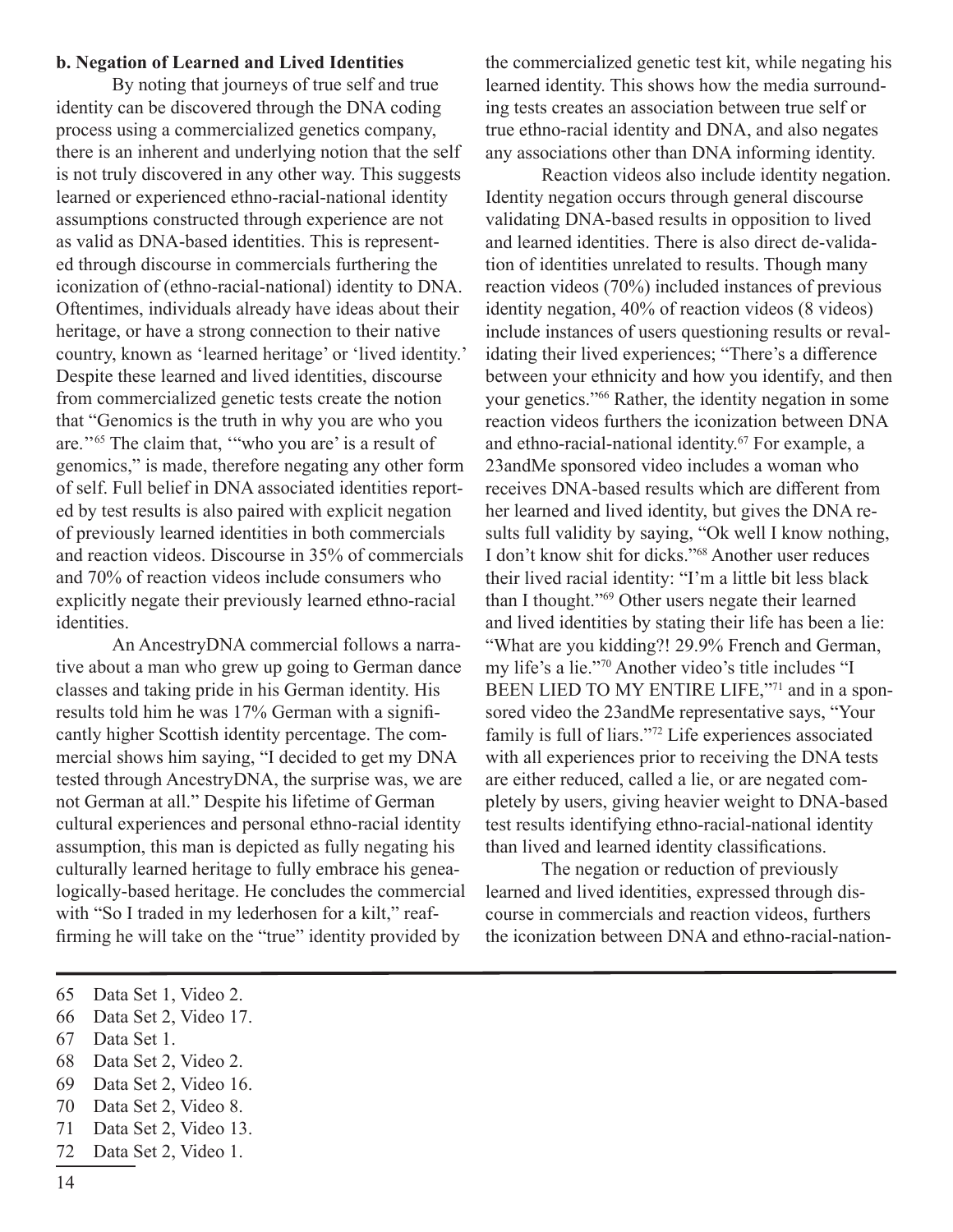#### **b. Negation of Learned and Lived Identities**

By noting that journeys of true self and true identity can be discovered through the DNA coding process using a commercialized genetics company, there is an inherent and underlying notion that the self is not truly discovered in any other way. This suggests learned or experienced ethno-racial-national identity assumptions constructed through experience are not as valid as DNA-based identities. This is represented through discourse in commercials furthering the iconization of (ethno-racial-national) identity to DNA. Oftentimes, individuals already have ideas about their heritage, or have a strong connection to their native country, known as 'learned heritage' or 'lived identity.' Despite these learned and lived identities, discourse from commercialized genetic tests create the notion that "Genomics is the truth in why you are who you are."<sup>65</sup> The claim that, "who you are' is a result of genomics," is made, therefore negating any other form of self. Full belief in DNA associated identities reported by test results is also paired with explicit negation of previously learned identities in both commercials and reaction videos. Discourse in 35% of commercials and 70% of reaction videos include consumers who explicitly negate their previously learned ethno-racial identities.

An AncestryDNA commercial follows a narrative about a man who grew up going to German dance classes and taking pride in his German identity. His results told him he was 17% German with a significantly higher Scottish identity percentage. The commercial shows him saying, "I decided to get my DNA tested through AncestryDNA, the surprise was, we are not German at all." Despite his lifetime of German cultural experiences and personal ethno-racial identity assumption, this man is depicted as fully negating his culturally learned heritage to fully embrace his genealogically-based heritage. He concludes the commercial with "So I traded in my lederhosen for a kilt," reaffirming he will take on the "true" identity provided by

the commercialized genetic test kit, while negating his learned identity. This shows how the media surrounding tests creates an association between true self or true ethno-racial identity and DNA, and also negates any associations other than DNA informing identity.

Reaction videos also include identity negation. Identity negation occurs through general discourse validating DNA-based results in opposition to lived and learned identities. There is also direct de-validation of identities unrelated to results. Though many reaction videos (70%) included instances of previous identity negation, 40% of reaction videos (8 videos) include instances of users questioning results or revalidating their lived experiences; "There's a difference between your ethnicity and how you identify, and then your genetics."66 Rather, the identity negation in some reaction videos furthers the iconization between DNA and ethno-racial-national identity.<sup>67</sup> For example, a 23andMe sponsored video includes a woman who receives DNA-based results which are different from her learned and lived identity, but gives the DNA results full validity by saying, "Ok well I know nothing, I don't know shit for dicks."<sup>68</sup> Another user reduces their lived racial identity: "I'm a little bit less black than I thought."<sup>69</sup> Other users negate their learned and lived identities by stating their life has been a lie: "What are you kidding?! 29.9% French and German, my life's a lie."70 Another video's title includes "I BEEN LIED TO MY ENTIRE LIFE,"71 and in a sponsored video the 23andMe representative says, "Your family is full of liars."72 Life experiences associated with all experiences prior to receiving the DNA tests are either reduced, called a lie, or are negated completely by users, giving heavier weight to DNA-based test results identifying ethno-racial-national identity than lived and learned identity classifications.

The negation or reduction of previously learned and lived identities, expressed through discourse in commercials and reaction videos, furthers the iconization between DNA and ethno-racial-nation-

- 67 Data Set 1.
- 68 Data Set 2, Video 2.
- 69 Data Set 2, Video 16.
- 70 Data Set 2, Video 8.
- 71 Data Set 2, Video 13.
- 72 Data Set 2, Video 1.

<sup>65</sup> Data Set 1, Video 2.

<sup>66</sup> Data Set 2, Video 17.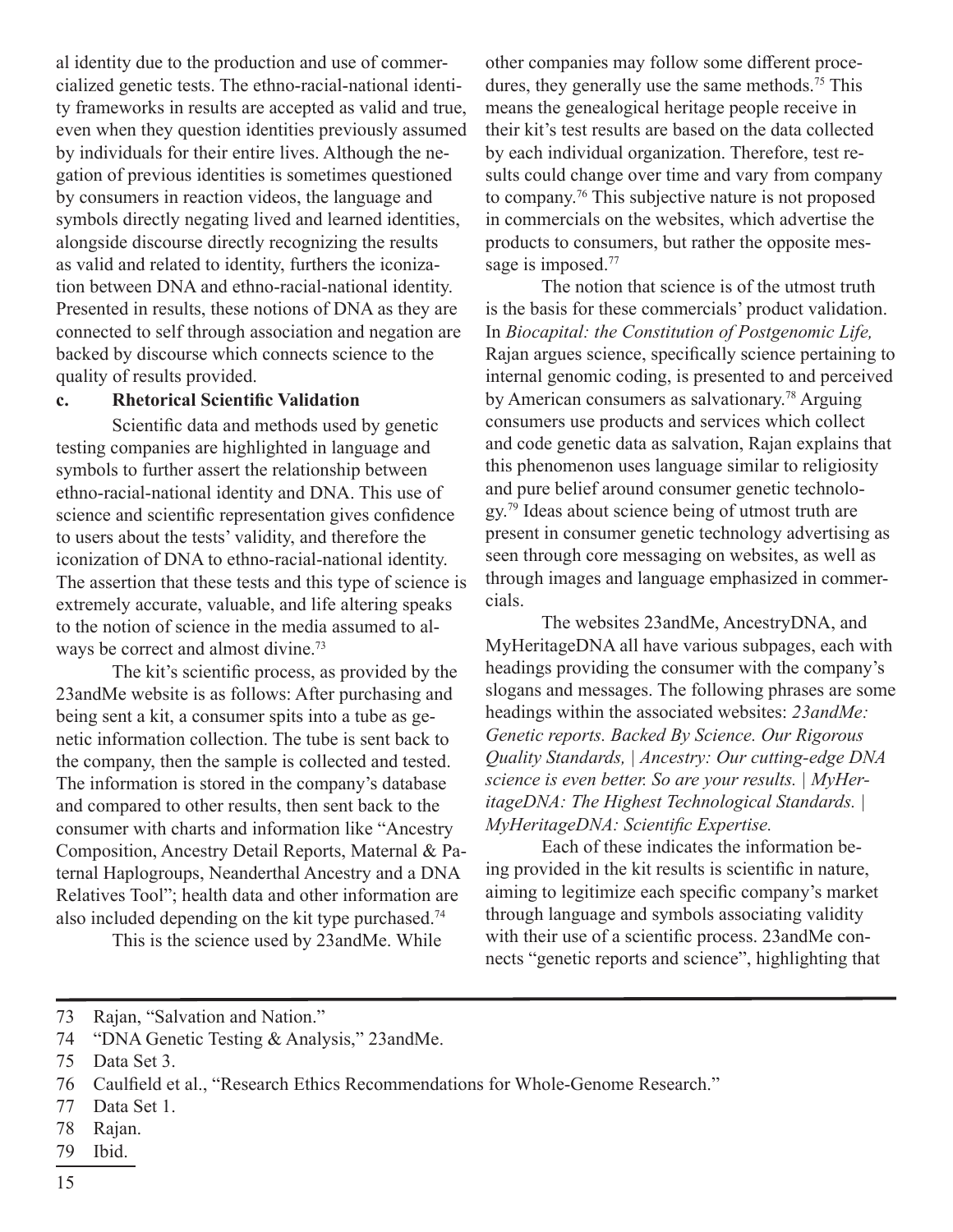al identity due to the production and use of commercialized genetic tests. The ethno-racial-national identity frameworks in results are accepted as valid and true, even when they question identities previously assumed by individuals for their entire lives. Although the negation of previous identities is sometimes questioned by consumers in reaction videos, the language and symbols directly negating lived and learned identities, alongside discourse directly recognizing the results as valid and related to identity, furthers the iconization between DNA and ethno-racial-national identity. Presented in results, these notions of DNA as they are connected to self through association and negation are backed by discourse which connects science to the quality of results provided.

#### **c. Rhetorical Scientific Validation**

Scientific data and methods used by genetic testing companies are highlighted in language and symbols to further assert the relationship between ethno-racial-national identity and DNA. This use of science and scientific representation gives confidence to users about the tests' validity, and therefore the iconization of DNA to ethno-racial-national identity. The assertion that these tests and this type of science is extremely accurate, valuable, and life altering speaks to the notion of science in the media assumed to always be correct and almost divine.<sup>73</sup>

The kit's scientific process, as provided by the 23andMe website is as follows: After purchasing and being sent a kit, a consumer spits into a tube as genetic information collection. The tube is sent back to the company, then the sample is collected and tested. The information is stored in the company's database and compared to other results, then sent back to the consumer with charts and information like "Ancestry Composition, Ancestry Detail Reports, Maternal & Paternal Haplogroups, Neanderthal Ancestry and a DNA Relatives Tool"; health data and other information are also included depending on the kit type purchased.<sup>74</sup>

This is the science used by 23andMe. While

other companies may follow some different procedures, they generally use the same methods.<sup>75</sup> This means the genealogical heritage people receive in their kit's test results are based on the data collected by each individual organization. Therefore, test results could change over time and vary from company to company.76 This subjective nature is not proposed in commercials on the websites, which advertise the products to consumers, but rather the opposite message is imposed.<sup>77</sup>

The notion that science is of the utmost truth is the basis for these commercials' product validation. In *Biocapital: the Constitution of Postgenomic Life,* Rajan argues science, specifically science pertaining to internal genomic coding, is presented to and perceived by American consumers as salvationary.<sup>78</sup> Arguing consumers use products and services which collect and code genetic data as salvation, Rajan explains that this phenomenon uses language similar to religiosity and pure belief around consumer genetic technology.<sup>79</sup> Ideas about science being of utmost truth are present in consumer genetic technology advertising as seen through core messaging on websites, as well as through images and language emphasized in commercials.

The websites 23andMe, AncestryDNA, and MyHeritageDNA all have various subpages, each with headings providing the consumer with the company's slogans and messages. The following phrases are some headings within the associated websites: *23andMe: Genetic reports. Backed By Science. Our Rigorous Quality Standards, | Ancestry: Our cutting-edge DNA science is even better. So are your results. | MyHeritageDNA: The Highest Technological Standards. | MyHeritageDNA: Scientific Expertise.* 

Each of these indicates the information being provided in the kit results is scientific in nature, aiming to legitimize each specific company's market through language and symbols associating validity with their use of a scientific process. 23andMe connects "genetic reports and science", highlighting that

- 78 Rajan.
- 79 Ibid.

<sup>73</sup> Rajan, "Salvation and Nation."

<sup>74</sup> "DNA Genetic Testing & Analysis," 23andMe.

<sup>75</sup> Data Set 3.

<sup>76</sup> Caulfield et al., "Research Ethics Recommendations for Whole-Genome Research."

<sup>77</sup> Data Set 1.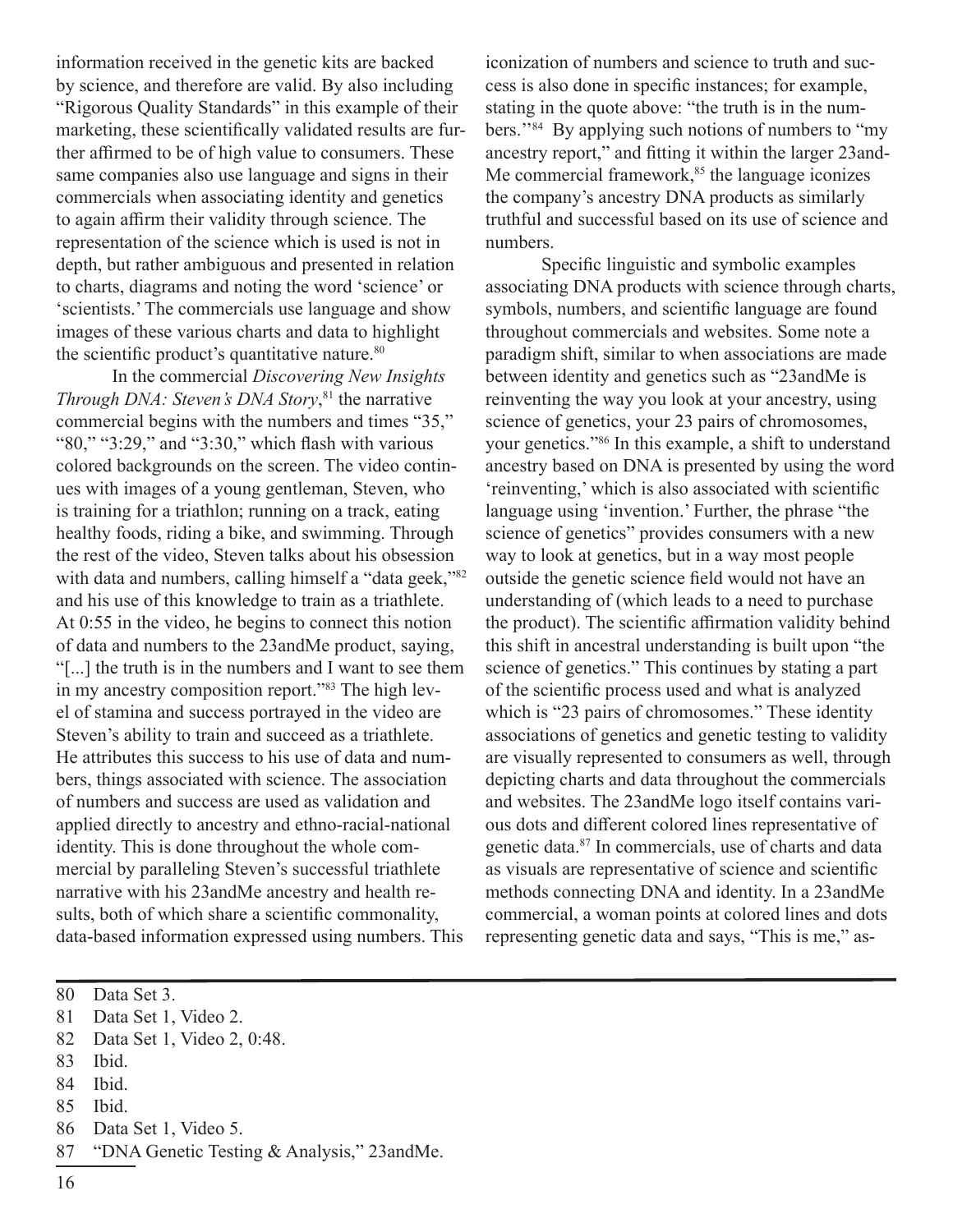information received in the genetic kits are backed by science, and therefore are valid. By also including "Rigorous Quality Standards" in this example of their marketing, these scientifically validated results are further affirmed to be of high value to consumers. These same companies also use language and signs in their commercials when associating identity and genetics to again affirm their validity through science. The representation of the science which is used is not in depth, but rather ambiguous and presented in relation to charts, diagrams and noting the word 'science' or 'scientists.' The commercials use language and show images of these various charts and data to highlight the scientific product's quantitative nature.<sup>80</sup>

In the commercial *Discovering New Insights Through DNA: Steven's DNA Story*, <sup>81</sup> the narrative commercial begins with the numbers and times "35," "80," "3:29," and "3:30," which flash with various colored backgrounds on the screen. The video continues with images of a young gentleman, Steven, who is training for a triathlon; running on a track, eating healthy foods, riding a bike, and swimming. Through the rest of the video, Steven talks about his obsession with data and numbers, calling himself a "data geek,"82 and his use of this knowledge to train as a triathlete. At 0:55 in the video, he begins to connect this notion of data and numbers to the 23andMe product, saying, "[...] the truth is in the numbers and I want to see them in my ancestry composition report."83 The high level of stamina and success portrayed in the video are Steven's ability to train and succeed as a triathlete. He attributes this success to his use of data and numbers, things associated with science. The association of numbers and success are used as validation and applied directly to ancestry and ethno-racial-national identity. This is done throughout the whole commercial by paralleling Steven's successful triathlete narrative with his 23andMe ancestry and health results, both of which share a scientific commonality, data-based information expressed using numbers. This

iconization of numbers and science to truth and success is also done in specific instances; for example, stating in the quote above: "the truth is in the numbers.''84 By applying such notions of numbers to "my ancestry report," and fitting it within the larger 23and-Me commercial framework, $85$  the language iconizes the company's ancestry DNA products as similarly truthful and successful based on its use of science and numbers.

Specific linguistic and symbolic examples associating DNA products with science through charts, symbols, numbers, and scientific language are found throughout commercials and websites. Some note a paradigm shift, similar to when associations are made between identity and genetics such as "23andMe is reinventing the way you look at your ancestry, using science of genetics, your 23 pairs of chromosomes, your genetics."<sup>86</sup> In this example, a shift to understand ancestry based on DNA is presented by using the word 'reinventing,' which is also associated with scientific language using 'invention.' Further, the phrase "the science of genetics" provides consumers with a new way to look at genetics, but in a way most people outside the genetic science field would not have an understanding of (which leads to a need to purchase the product). The scientific affirmation validity behind this shift in ancestral understanding is built upon "the science of genetics." This continues by stating a part of the scientific process used and what is analyzed which is "23 pairs of chromosomes." These identity associations of genetics and genetic testing to validity are visually represented to consumers as well, through depicting charts and data throughout the commercials and websites. The 23andMe logo itself contains various dots and different colored lines representative of genetic data.<sup>87</sup> In commercials, use of charts and data as visuals are representative of science and scientific methods connecting DNA and identity. In a 23andMe commercial, a woman points at colored lines and dots representing genetic data and says, "This is me," as-

- 83 Ibid.
- 84 Ibid.
- 85 Ibid.
- 86 Data Set 1, Video 5.
- 87 "DNA Genetic Testing & Analysis," 23andMe.

<sup>80</sup> Data Set 3.

<sup>81</sup> Data Set 1, Video 2.

<sup>82</sup> Data Set 1, Video 2, 0:48.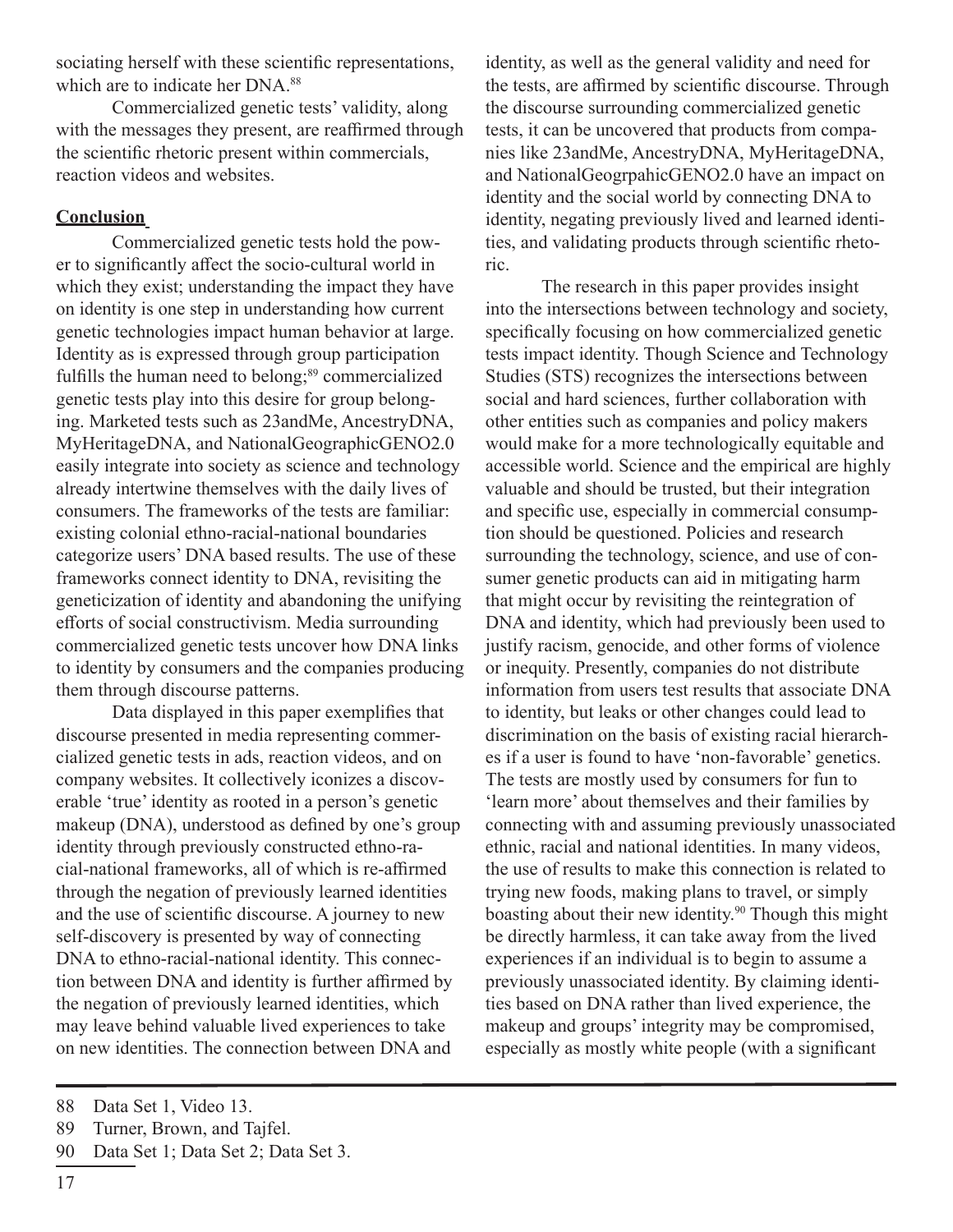sociating herself with these scientific representations, which are to indicate her DNA.<sup>88</sup>

Commercialized genetic tests' validity, along with the messages they present, are reaffirmed through the scientific rhetoric present within commercials, reaction videos and websites.

#### **Conclusion**

Commercialized genetic tests hold the power to significantly affect the socio-cultural world in which they exist; understanding the impact they have on identity is one step in understanding how current genetic technologies impact human behavior at large. Identity as is expressed through group participation fulfills the human need to belong;<sup>89</sup> commercialized genetic tests play into this desire for group belonging. Marketed tests such as 23andMe, AncestryDNA, MyHeritageDNA, and NationalGeographicGENO2.0 easily integrate into society as science and technology already intertwine themselves with the daily lives of consumers. The frameworks of the tests are familiar: existing colonial ethno-racial-national boundaries categorize users' DNA based results. The use of these frameworks connect identity to DNA, revisiting the geneticization of identity and abandoning the unifying efforts of social constructivism. Media surrounding commercialized genetic tests uncover how DNA links to identity by consumers and the companies producing them through discourse patterns.

Data displayed in this paper exemplifies that discourse presented in media representing commercialized genetic tests in ads, reaction videos, and on company websites. It collectively iconizes a discoverable 'true' identity as rooted in a person's genetic makeup (DNA), understood as defined by one's group identity through previously constructed ethno-racial-national frameworks, all of which is re-affirmed through the negation of previously learned identities and the use of scientific discourse. A journey to new self-discovery is presented by way of connecting DNA to ethno-racial-national identity. This connection between DNA and identity is further affirmed by the negation of previously learned identities, which may leave behind valuable lived experiences to take on new identities. The connection between DNA and

The research in this paper provides insight into the intersections between technology and society, specifically focusing on how commercialized genetic tests impact identity. Though Science and Technology Studies (STS) recognizes the intersections between social and hard sciences, further collaboration with other entities such as companies and policy makers would make for a more technologically equitable and accessible world. Science and the empirical are highly valuable and should be trusted, but their integration and specific use, especially in commercial consumption should be questioned. Policies and research surrounding the technology, science, and use of consumer genetic products can aid in mitigating harm that might occur by revisiting the reintegration of DNA and identity, which had previously been used to justify racism, genocide, and other forms of violence or inequity. Presently, companies do not distribute information from users test results that associate DNA to identity, but leaks or other changes could lead to discrimination on the basis of existing racial hierarches if a user is found to have 'non-favorable' genetics. The tests are mostly used by consumers for fun to 'learn more' about themselves and their families by connecting with and assuming previously unassociated ethnic, racial and national identities. In many videos, the use of results to make this connection is related to trying new foods, making plans to travel, or simply boasting about their new identity.<sup>90</sup> Though this might be directly harmless, it can take away from the lived experiences if an individual is to begin to assume a previously unassociated identity. By claiming identities based on DNA rather than lived experience, the makeup and groups' integrity may be compromised, especially as mostly white people (with a significant

identity, as well as the general validity and need for the tests, are affirmed by scientific discourse. Through the discourse surrounding commercialized genetic tests, it can be uncovered that products from companies like 23andMe, AncestryDNA, MyHeritageDNA, and NationalGeogrpahicGENO2.0 have an impact on identity and the social world by connecting DNA to identity, negating previously lived and learned identities, and validating products through scientific rhetoric.

<sup>88</sup> Data Set 1, Video 13.

<sup>89</sup> Turner, Brown, and Tajfel.

<sup>90</sup> Data Set 1; Data Set 2; Data Set 3.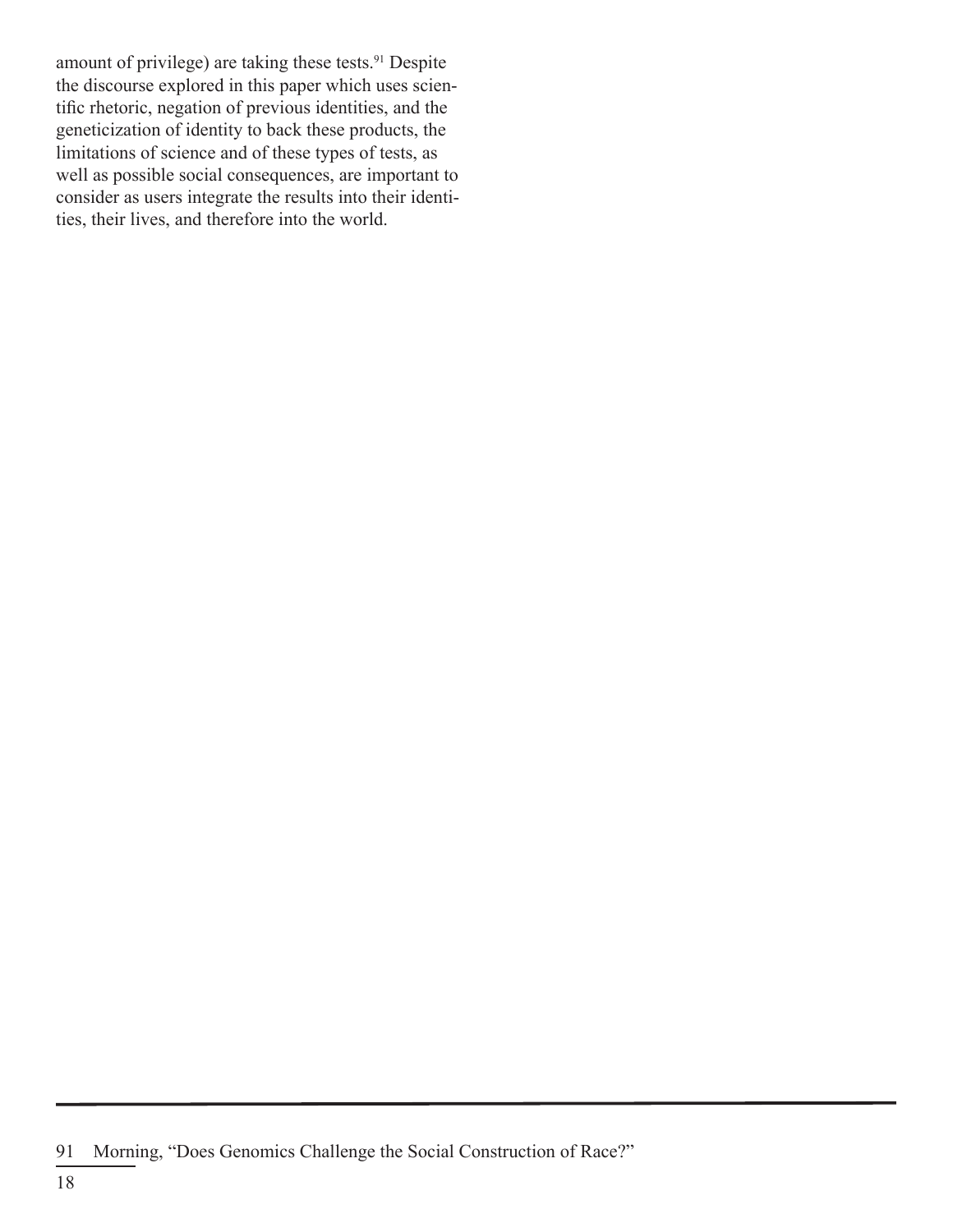amount of privilege) are taking these tests.<sup>91</sup> Despite the discourse explored in this paper which uses scientific rhetoric, negation of previous identities, and the geneticization of identity to back these products, the limitations of science and of these types of tests, as well as possible social consequences, are important to consider as users integrate the results into their identities, their lives, and therefore into the world.

<sup>91</sup> Morning, "Does Genomics Challenge the Social Construction of Race?"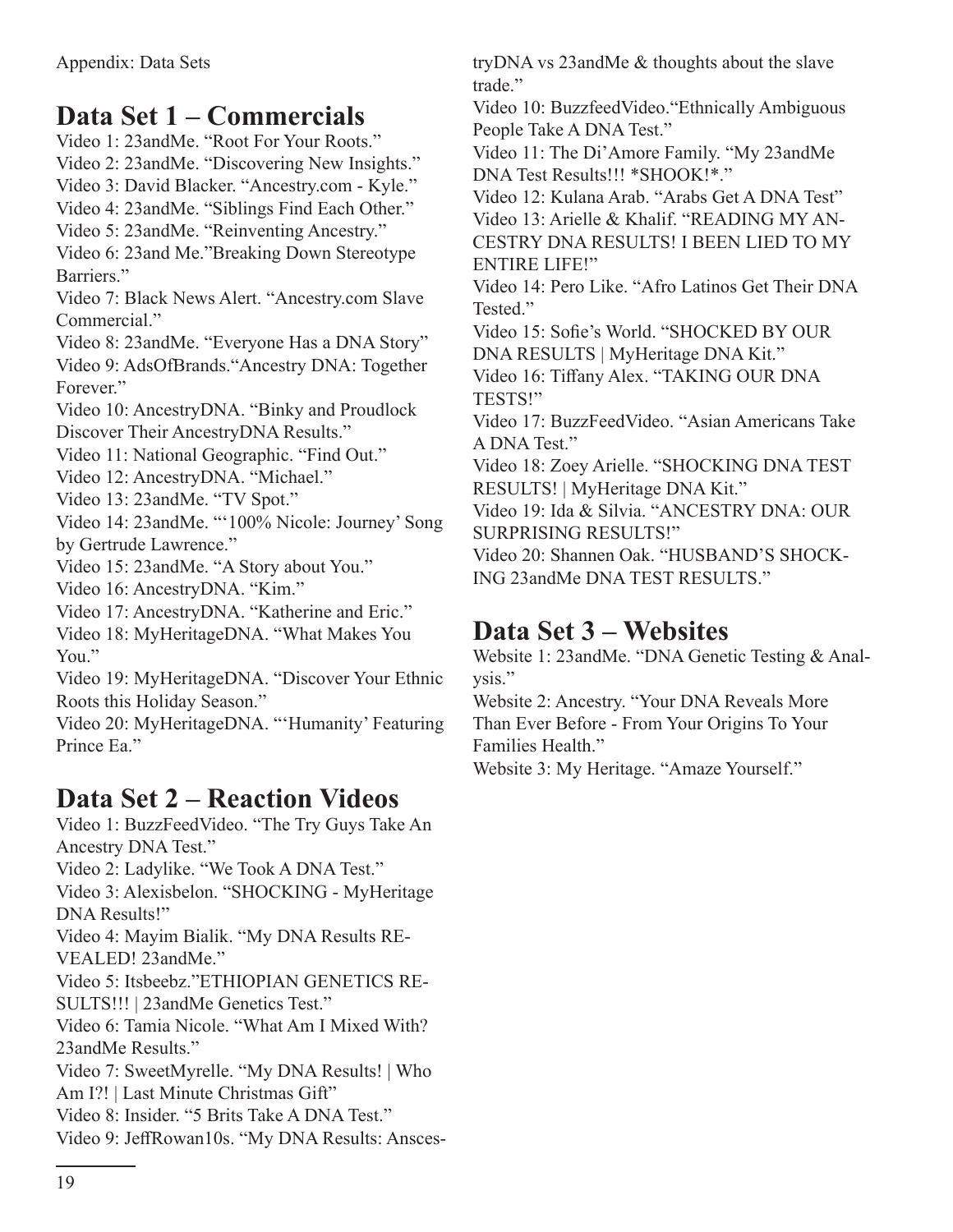# **Data Set 1 – Commercials**

Video 1: 23andMe. "Root For Your Roots." Video 2: 23andMe. "Discovering New Insights."

Video 3: David Blacker. "Ancestry.com - Kyle."

Video 4: 23andMe. "Siblings Find Each Other."

Video 5: 23andMe. "Reinventing Ancestry."

Video 6: 23and Me."Breaking Down Stereotype Barriers."

Video 7: Black News Alert. "Ancestry.com Slave Commercial."

Video 8: 23andMe. "Everyone Has a DNA Story"

Video 9: AdsOfBrands."Ancestry DNA: Together Forever."

Video 10: AncestryDNA. "Binky and Proudlock Discover Their AncestryDNA Results."

Video 11: National Geographic. "Find Out."

Video 12: AncestryDNA. "Michael."

Video 13: 23andMe. "TV Spot."

Video 14: 23andMe. "'100% Nicole: Journey' Song by Gertrude Lawrence."

Video 15: 23andMe. "A Story about You."

Video 16: AncestryDNA. "Kim."

Video 17: AncestryDNA. "Katherine and Eric."

Video 18: MyHeritageDNA. "What Makes You You."

Video 19: MyHeritageDNA. "Discover Your Ethnic Roots this Holiday Season."

Video 20: MyHeritageDNA. "'Humanity' Featuring Prince Ea."

## **Data Set 2 – Reaction Videos**

Video 1: BuzzFeedVideo. "The Try Guys Take An Ancestry DNA Test."

Video 2: Ladylike. "We Took A DNA Test."

Video 3: Alexisbelon. "SHOCKING - MyHeritage DNA Results!"

Video 4: Mayim Bialik. "My DNA Results RE-VEALED! 23andMe."

Video 5: Itsbeebz."ETHIOPIAN GENETICS RE-SULTS!!! | 23andMe Genetics Test."

Video 6: Tamia Nicole. "What Am I Mixed With? 23andMe Results."

Video 7: SweetMyrelle. "My DNA Results! | Who Am I?! | Last Minute Christmas Gift"

Video 8: Insider. "5 Brits Take A DNA Test."

Video 9: JeffRowan10s. "My DNA Results: Ansces-

tryDNA vs 23andMe & thoughts about the slave trade."

Video 10: BuzzfeedVideo."Ethnically Ambiguous People Take A DNA Test."

Video 11: The Di'Amore Family. "My 23andMe DNA Test Results!!! \*SHOOK!\*."

Video 12: Kulana Arab. "Arabs Get A DNA Test" Video 13: Arielle & Khalif. "READING MY AN-CESTRY DNA RESULTS! I BEEN LIED TO MY ENTIRE LIFE!"

Video 14: Pero Like. "Afro Latinos Get Their DNA Tested."

Video 15: Sofie's World. "SHOCKED BY OUR DNA RESULTS | MyHeritage DNA Kit."

Video 16: Tiffany Alex. "TAKING OUR DNA TESTS!"

Video 17: BuzzFeedVideo. "Asian Americans Take A DNA Test."

Video 18: Zoey Arielle. "SHOCKING DNA TEST RESULTS! | MyHeritage DNA Kit."

Video 19: Ida & Silvia. "ANCESTRY DNA: OUR SURPRISING RESULTS!"

Video 20: Shannen Oak. "HUSBAND'S SHOCK-ING 23andMe DNA TEST RESULTS."

## **Data Set 3 – Websites**

Website 1: 23andMe. "DNA Genetic Testing & Analysis."

Website 2: Ancestry. "Your DNA Reveals More Than Ever Before - From Your Origins To Your Families Health."

Website 3: My Heritage. "Amaze Yourself."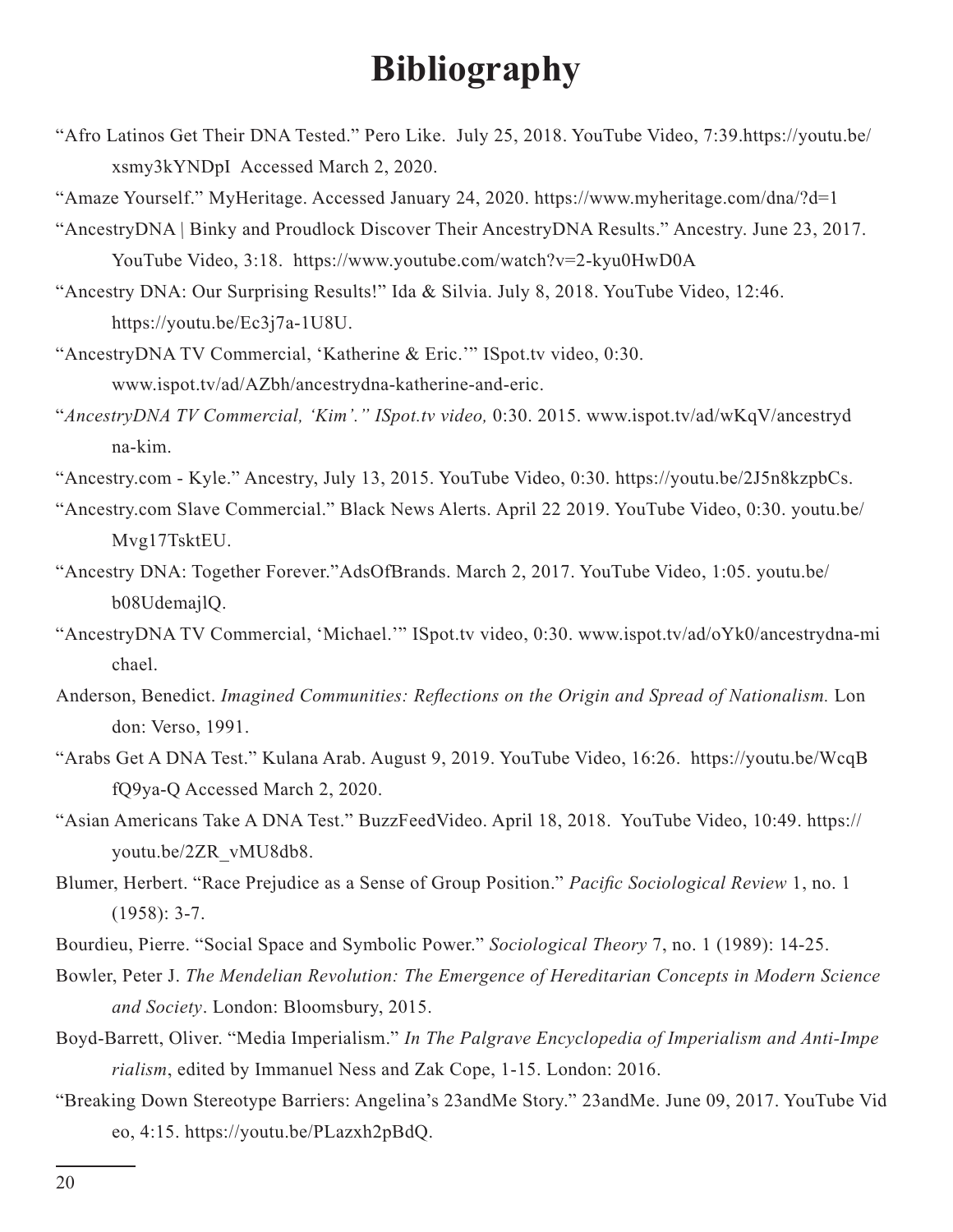# **Bibliography**

"Afro Latinos Get Their DNA Tested." Pero Like. July 25, 2018. YouTube Video, 7:39.https://youtu.be/ xsmy3kYNDpI Accessed March 2, 2020.

"Amaze Yourself." MyHeritage. Accessed January 24, 2020. https://www.myheritage.com/dna/?d=1

- "AncestryDNA | Binky and Proudlock Discover Their AncestryDNA Results." Ancestry. June 23, 2017. YouTube Video, 3:18. https://www.youtube.com/watch?v=2-kyu0HwD0A
- "Ancestry DNA: Our Surprising Results!" Ida & Silvia. July 8, 2018. YouTube Video, 12:46. https://youtu.be/Ec3j7a-1U8U.
- "AncestryDNA TV Commercial, 'Katherine & Eric.'" ISpot.tv video, 0:30. www.ispot.tv/ad/AZbh/ancestrydna-katherine-and-eric.
- "*AncestryDNA TV Commercial, 'Kim'." ISpot.tv video,* 0:30. 2015. www.ispot.tv/ad/wKqV/ancestryd na-kim.
- "Ancestry.com Kyle." Ancestry, July 13, 2015. YouTube Video, 0:30. https://youtu.be/2J5n8kzpbCs.
- "Ancestry.com Slave Commercial." Black News Alerts. April 22 2019. YouTube Video, 0:30. youtu.be/ Mvg17TsktEU.
- "Ancestry DNA: Together Forever."AdsOfBrands. March 2, 2017. YouTube Video, 1:05. youtu.be/ b08UdemajlQ.
- "AncestryDNA TV Commercial, 'Michael.'" ISpot.tv video, 0:30. www.ispot.tv/ad/oYk0/ancestrydna-mi chael.
- Anderson, Benedict. *Imagined Communities: Reflections on the Origin and Spread of Nationalism.* Lon don: Verso, 1991.
- "Arabs Get A DNA Test." Kulana Arab. August 9, 2019. YouTube Video, 16:26. https://youtu.be/WcqB fQ9ya-Q Accessed March 2, 2020.
- "Asian Americans Take A DNA Test." BuzzFeedVideo. April 18, 2018. YouTube Video, 10:49. https:// youtu.be/2ZR\_vMU8db8.
- Blumer, Herbert. "Race Prejudice as a Sense of Group Position." *Pacific Sociological Review* 1, no. 1 (1958): 3-7.
- Bourdieu, Pierre. "Social Space and Symbolic Power." *Sociological Theory* 7, no. 1 (1989): 14-25.
- Bowler, Peter J. *The Mendelian Revolution: The Emergence of Hereditarian Concepts in Modern Science and Society*. London: Bloomsbury, 2015.
- Boyd-Barrett, Oliver. "Media Imperialism." *In The Palgrave Encyclopedia of Imperialism and Anti-Impe rialism*, edited by Immanuel Ness and Zak Cope, 1-15. London: 2016.
- "Breaking Down Stereotype Barriers: Angelina's 23andMe Story." 23andMe. June 09, 2017. YouTube Vid eo, 4:15. https://youtu.be/PLazxh2pBdQ.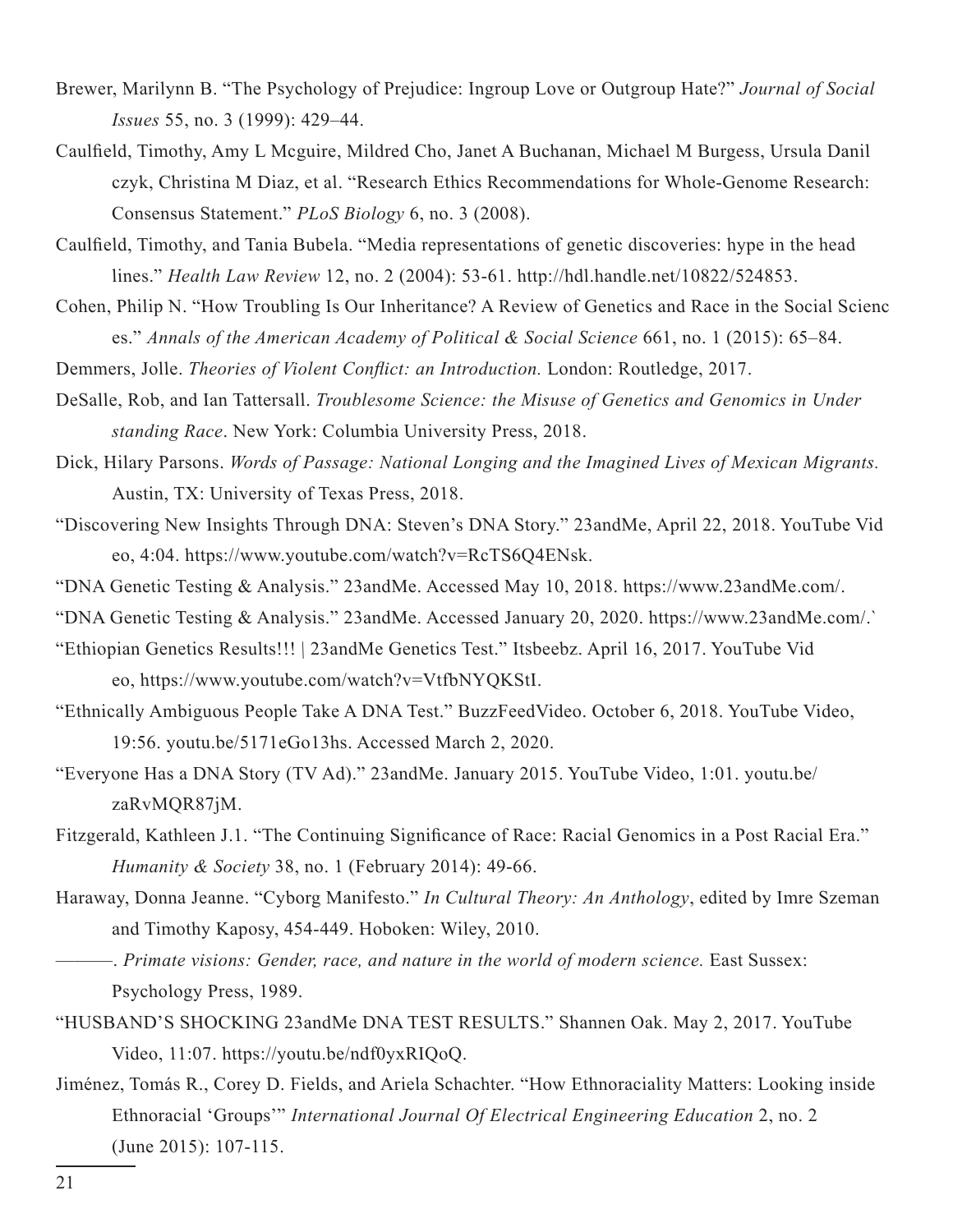- Brewer, Marilynn B. "The Psychology of Prejudice: Ingroup Love or Outgroup Hate?" *Journal of Social Issues* 55, no. 3 (1999): 429–44.
- Caulfield, Timothy, Amy L Mcguire, Mildred Cho, Janet A Buchanan, Michael M Burgess, Ursula Danil czyk, Christina M Diaz, et al. "Research Ethics Recommendations for Whole-Genome Research: Consensus Statement." *PLoS Biology* 6, no. 3 (2008).
- Caulfield, Timothy, and Tania Bubela. "Media representations of genetic discoveries: hype in the head lines." *Health Law Review* 12, no. 2 (2004): 53-61. http://hdl.handle.net/10822/524853.
- Cohen, Philip N. "How Troubling Is Our Inheritance? A Review of Genetics and Race in the Social Scienc es." *Annals of the American Academy of Political & Social Science* 661, no. 1 (2015): 65–84.
- Demmers, Jolle. *Theories of Violent Conflict: an Introduction.* London: Routledge, 2017.
- DeSalle, Rob, and Ian Tattersall. *Troublesome Science: the Misuse of Genetics and Genomics in Under standing Race*. New York: Columbia University Press, 2018.
- Dick, Hilary Parsons. *Words of Passage: National Longing and the Imagined Lives of Mexican Migrants.* Austin, TX: University of Texas Press, 2018.
- "Discovering New Insights Through DNA: Steven's DNA Story." 23andMe, April 22, 2018. YouTube Vid eo, 4:04. https://www.youtube.com/watch?v=RcTS6Q4ENsk.
- "DNA Genetic Testing & Analysis." 23andMe. Accessed May 10, 2018. https://www.23andMe.com/.
- "DNA Genetic Testing & Analysis." 23andMe. Accessed January 20, 2020. https://www.23andMe.com/.`
- "Ethiopian Genetics Results!!! | 23andMe Genetics Test." Itsbeebz. April 16, 2017. YouTube Vid eo, https://www.youtube.com/watch?v=VtfbNYQKStI.
- "Ethnically Ambiguous People Take A DNA Test." BuzzFeedVideo. October 6, 2018. YouTube Video, 19:56. youtu.be/5171eGo13hs. Accessed March 2, 2020.
- "Everyone Has a DNA Story (TV Ad)." 23andMe. January 2015. YouTube Video, 1:01. youtu.be/ zaRvMQR87jM.
- Fitzgerald, Kathleen J.1. "The Continuing Significance of Race: Racial Genomics in a Post Racial Era." *Humanity & Society* 38, no. 1 (February 2014): 49-66.
- Haraway, Donna Jeanne. "Cyborg Manifesto." *In Cultural Theory: An Anthology*, edited by Imre Szeman and Timothy Kaposy, 454-449. Hoboken: Wiley, 2010.
- ———. *Primate visions: Gender, race, and nature in the world of modern science.* East Sussex: Psychology Press, 1989.
- "HUSBAND'S SHOCKING 23andMe DNA TEST RESULTS." Shannen Oak. May 2, 2017. YouTube Video, 11:07. https://youtu.be/ndf0yxRIQoQ.
- Jiménez, Tomás R., Corey D. Fields, and Ariela Schachter. "How Ethnoraciality Matters: Looking inside Ethnoracial 'Groups'" *International Journal Of Electrical Engineering Education* 2, no. 2 (June 2015): 107-115.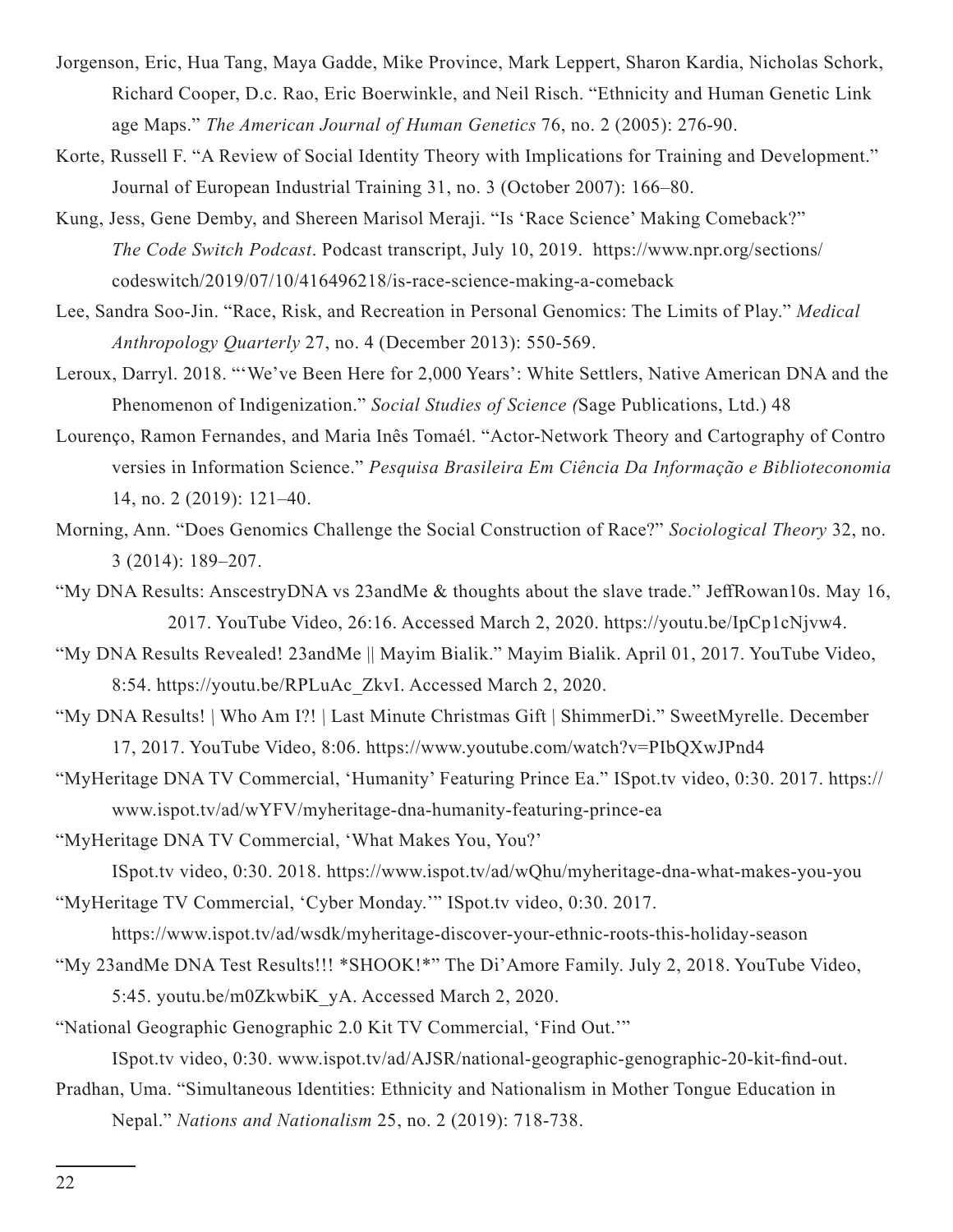- Jorgenson, Eric, Hua Tang, Maya Gadde, Mike Province, Mark Leppert, Sharon Kardia, Nicholas Schork, Richard Cooper, D.c. Rao, Eric Boerwinkle, and Neil Risch. "Ethnicity and Human Genetic Link age Maps." *The American Journal of Human Genetics* 76, no. 2 (2005): 276-90.
- Korte, Russell F. "A Review of Social Identity Theory with Implications for Training and Development." Journal of European Industrial Training 31, no. 3 (October 2007): 166–80.
- Kung, Jess, Gene Demby, and Shereen Marisol Meraji. "Is 'Race Science' Making Comeback?" *The Code Switch Podcast*. Podcast transcript, July 10, 2019. https://www.npr.org/sections/ codeswitch/2019/07/10/416496218/is-race-science-making-a-comeback
- Lee, Sandra Soo-Jin. "Race, Risk, and Recreation in Personal Genomics: The Limits of Play." *Medical Anthropology Quarterly* 27, no. 4 (December 2013): 550-569.
- Leroux, Darryl. 2018. "'We've Been Here for 2,000 Years': White Settlers, Native American DNA and the Phenomenon of Indigenization." *Social Studies of Science (*Sage Publications, Ltd.) 48
- Lourenço, Ramon Fernandes, and Maria Inês Tomaél. "Actor-Network Theory and Cartography of Contro versies in Information Science." *Pesquisa Brasileira Em Ciência Da Informação e Biblioteconomia*  14, no. 2 (2019): 121–40.
- Morning, Ann. "Does Genomics Challenge the Social Construction of Race?" *Sociological Theory* 32, no. 3 (2014): 189–207.
- "My DNA Results: AnscestryDNA vs 23andMe & thoughts about the slave trade." JeffRowan10s. May 16, 2017. YouTube Video, 26:16. Accessed March 2, 2020. https://youtu.be/IpCp1cNjvw4.
- "My DNA Results Revealed! 23andMe || Mayim Bialik." Mayim Bialik. April 01, 2017. YouTube Video, 8:54. https://youtu.be/RPLuAc\_ZkvI. Accessed March 2, 2020.
- "My DNA Results! | Who Am I?! | Last Minute Christmas Gift | ShimmerDi." SweetMyrelle. December 17, 2017. YouTube Video, 8:06. https://www.youtube.com/watch?v=PIbQXwJPnd4
- "MyHeritage DNA TV Commercial, 'Humanity' Featuring Prince Ea." ISpot.tv video, 0:30. 2017. https:// www.ispot.tv/ad/wYFV/myheritage-dna-humanity-featuring-prince-ea
- "MyHeritage DNA TV Commercial, 'What Makes You, You?'

ISpot.tv video, 0:30. 2018. https://www.ispot.tv/ad/wQhu/myheritage-dna-what-makes-you-you

"MyHeritage TV Commercial, 'Cyber Monday.'" ISpot.tv video, 0:30. 2017.

https://www.ispot.tv/ad/wsdk/myheritage-discover-your-ethnic-roots-this-holiday-season

- "My 23andMe DNA Test Results!!! \*SHOOK!\*" The Di'Amore Family. July 2, 2018. YouTube Video, 5:45. youtu.be/m0ZkwbiK\_yA. Accessed March 2, 2020.
- "National Geographic Genographic 2.0 Kit TV Commercial, 'Find Out.'"

ISpot.tv video, 0:30. www.ispot.tv/ad/AJSR/national-geographic-genographic-20-kit-find-out.

Pradhan, Uma. "Simultaneous Identities: Ethnicity and Nationalism in Mother Tongue Education in Nepal." *Nations and Nationalism* 25, no. 2 (2019): 718-738.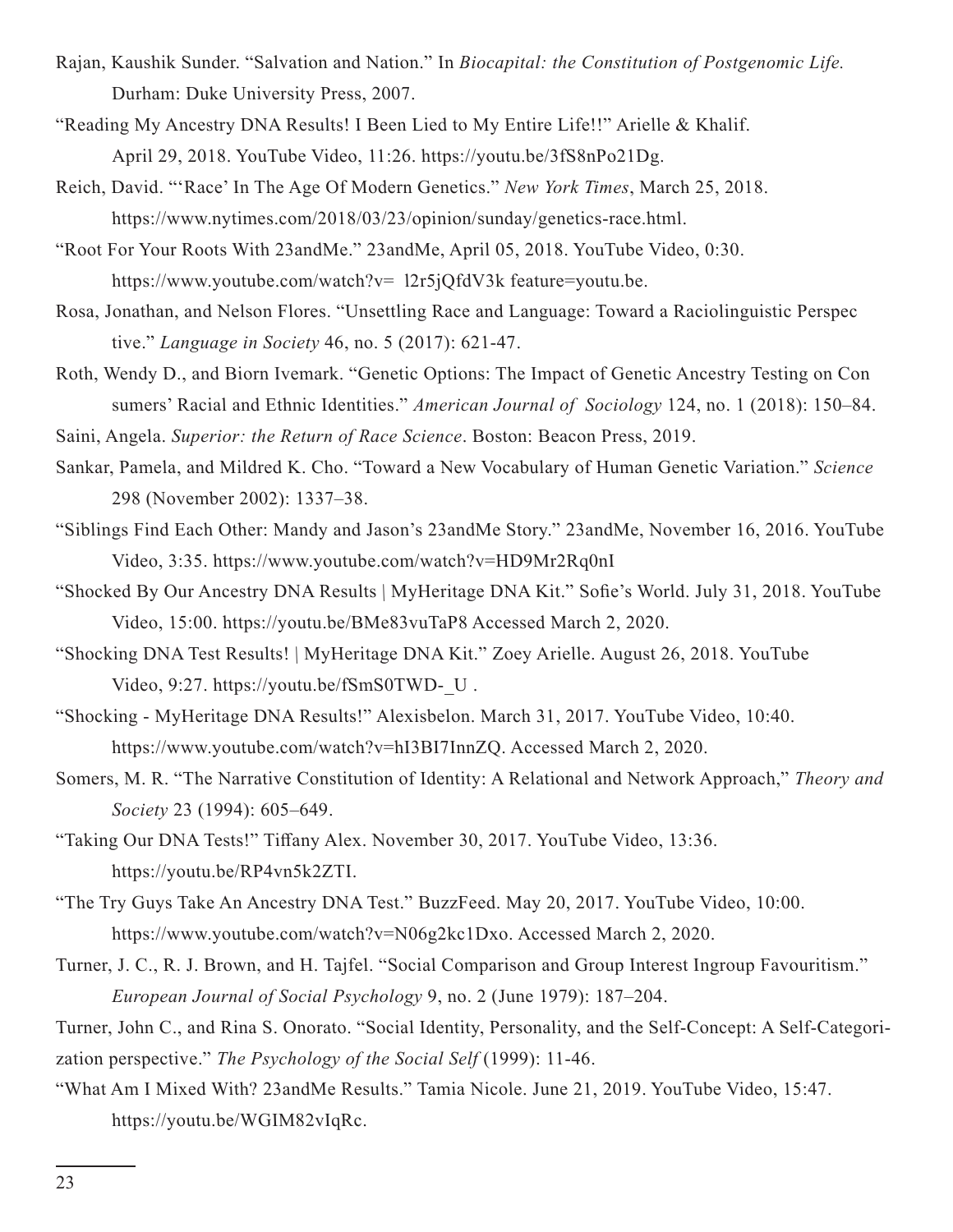- Rajan, Kaushik Sunder. "Salvation and Nation." In *Biocapital: the Constitution of Postgenomic Life.*  Durham: Duke University Press, 2007.
- "Reading My Ancestry DNA Results! I Been Lied to My Entire Life!!" Arielle & Khalif. April 29, 2018. YouTube Video, 11:26. https://youtu.be/3fS8nPo21Dg.
- Reich, David. "'Race' In The Age Of Modern Genetics." *New York Times*, March 25, 2018. https://www.nytimes.com/2018/03/23/opinion/sunday/genetics-race.html.
- "Root For Your Roots With 23andMe." 23andMe, April 05, 2018. YouTube Video, 0:30. https://www.youtube.com/watch?v= 12r5jQfdV3k feature=youtu.be.
- Rosa, Jonathan, and Nelson Flores. "Unsettling Race and Language: Toward a Raciolinguistic Perspec tive." *Language in Society* 46, no. 5 (2017): 621-47.
- Roth, Wendy D., and Biorn Ivemark. "Genetic Options: The Impact of Genetic Ancestry Testing on Con sumers' Racial and Ethnic Identities." *American Journal of Sociology* 124, no. 1 (2018): 150–84.

Saini, Angela. *Superior: the Return of Race Science*. Boston: Beacon Press, 2019.

- Sankar, Pamela, and Mildred K. Cho. "Toward a New Vocabulary of Human Genetic Variation." *Science*  298 (November 2002): 1337–38.
- "Siblings Find Each Other: Mandy and Jason's 23andMe Story." 23andMe, November 16, 2016. YouTube Video, 3:35. https://www.youtube.com/watch?v=HD9Mr2Rq0nI
- "Shocked By Our Ancestry DNA Results | MyHeritage DNA Kit." Sofie's World. July 31, 2018. YouTube Video, 15:00. https://youtu.be/BMe83vuTaP8 Accessed March 2, 2020.
- "Shocking DNA Test Results! | MyHeritage DNA Kit." Zoey Arielle. August 26, 2018. YouTube Video, 9:27. https://youtu.be/fSmS0TWD-\_U .
- "Shocking MyHeritage DNA Results!" Alexisbelon. March 31, 2017. YouTube Video, 10:40. https://www.youtube.com/watch?v=hI3BI7InnZQ. Accessed March 2, 2020.
- Somers, M. R. "The Narrative Constitution of Identity: A Relational and Network Approach," *Theory and Society* 23 (1994): 605–649.
- "Taking Our DNA Tests!" Tiffany Alex. November 30, 2017. YouTube Video, 13:36. https://youtu.be/RP4vn5k2ZTI.
- "The Try Guys Take An Ancestry DNA Test." BuzzFeed. May 20, 2017. YouTube Video, 10:00. https://www.youtube.com/watch?v=N06g2kc1Dxo. Accessed March 2, 2020.
- Turner, J. C., R. J. Brown, and H. Tajfel. "Social Comparison and Group Interest Ingroup Favouritism." *European Journal of Social Psychology* 9, no. 2 (June 1979): 187–204.
- Turner, John C., and Rina S. Onorato. "Social Identity, Personality, and the Self-Concept: A Self-Categorization perspective." *The Psychology of the Social Self* (1999): 11-46.
- "What Am I Mixed With? 23andMe Results." Tamia Nicole. June 21, 2019. YouTube Video, 15:47. https://youtu.be/WGIM82vIqRc.